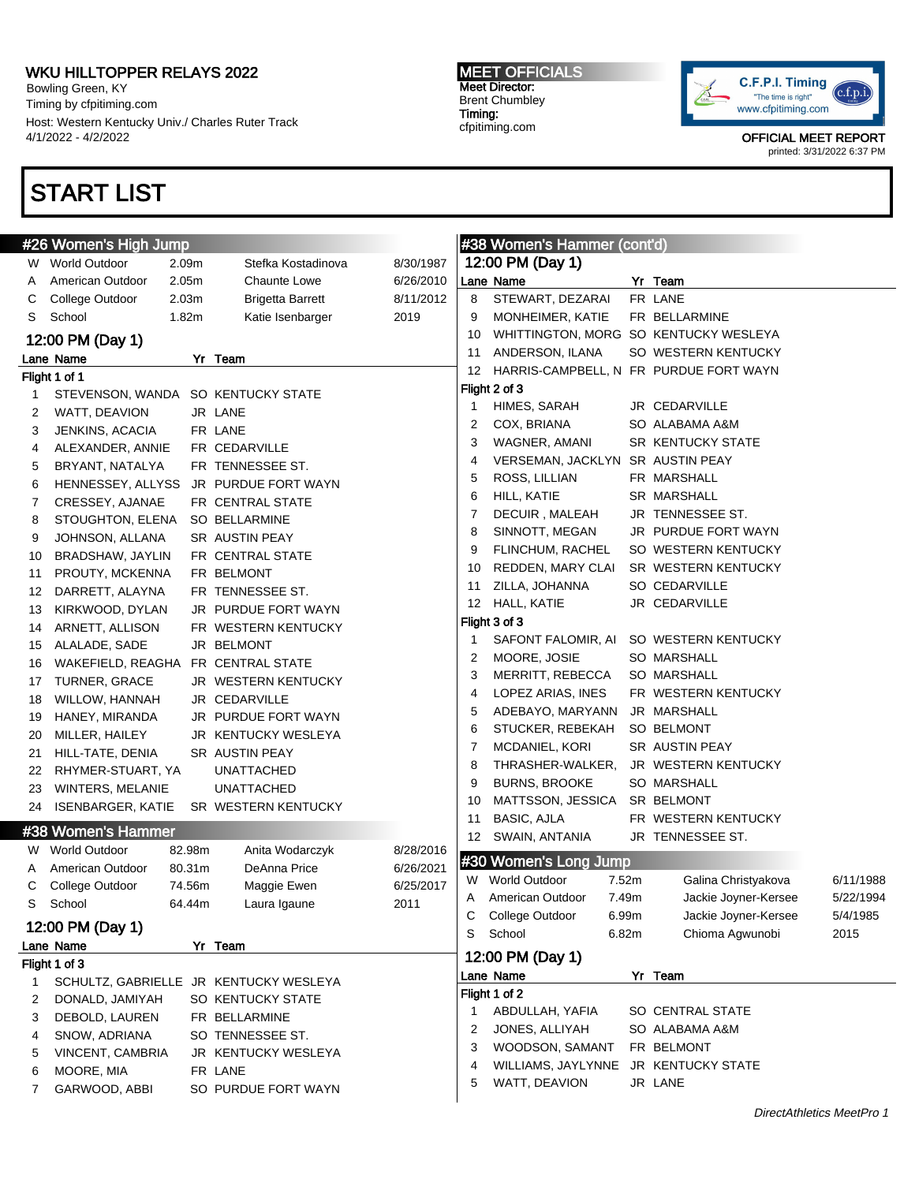Bowling Green, KY Timing by cfpitiming.com Host: Western Kentucky Univ./ Charles Ruter Track 4/1/2022 - 4/2/2022

# START LIST

### MEET OFFICIALS Meet Director: Brent Chumbley Timing: cfpitiming.com



|          | #26 Women's High Jump              |                   |                                        |           |    | #38 Women's Hammer (cont'd)            |       |                                       |           |
|----------|------------------------------------|-------------------|----------------------------------------|-----------|----|----------------------------------------|-------|---------------------------------------|-----------|
| W.       | <b>World Outdoor</b>               | 2.09m             | Stefka Kostadinova                     | 8/30/1987 |    | 12:00 PM (Day 1)                       |       |                                       |           |
| A        | American Outdoor                   | 2.05 <sub>m</sub> | Chaunte Lowe                           | 6/26/2010 |    | Lane Name                              |       | Yr Team                               |           |
| С        | College Outdoor                    | 2.03 <sub>m</sub> | <b>Brigetta Barrett</b>                | 8/11/2012 | 8  | STEWART, DEZARAI                       |       | FR LANE                               |           |
| S        | School                             | 1.82m             | Katie Isenbarger                       | 2019      | 9  | MONHEIMER, KATIE                       |       | FR BELLARMINE                         |           |
|          | 12:00 PM (Day 1)                   |                   |                                        |           | 10 |                                        |       | WHITTINGTON, MORG SO KENTUCKY WESLEYA |           |
|          | Lane Name                          |                   | Yr Team                                |           | 11 | ANDERSON, ILANA                        |       | SO WESTERN KENTUCKY                   |           |
|          | Flight 1 of 1                      |                   |                                        |           | 12 | HARRIS-CAMPBELL, N FR PURDUE FORT WAYN |       |                                       |           |
| 1        | STEVENSON, WANDA SO KENTUCKY STATE |                   |                                        |           |    | Flight 2 of 3                          |       |                                       |           |
| 2        | WATT, DEAVION                      |                   | JR LANE                                |           | 1  | HIMES, SARAH                           |       | JR CEDARVILLE                         |           |
| 3        | JENKINS, ACACIA                    |                   | FR LANE                                |           | 2  | COX, BRIANA                            |       | SO ALABAMA A&M                        |           |
| 4        | ALEXANDER, ANNIE                   |                   | FR CEDARVILLE                          |           | 3  | WAGNER, AMANI                          |       | <b>SR KENTUCKY STATE</b>              |           |
| 5        | BRYANT, NATALYA                    |                   | FR TENNESSEE ST.                       |           | 4  | VERSEMAN, JACKLYN SR AUSTIN PEAY       |       |                                       |           |
| 6        | HENNESSEY, ALLYSS                  |                   | JR PURDUE FORT WAYN                    |           | 5  | ROSS, LILLIAN                          |       | FR MARSHALL                           |           |
| 7        | CRESSEY, AJANAE                    |                   | FR CENTRAL STATE                       |           | 6  | HILL, KATIE                            |       | SR MARSHALL                           |           |
| 8        | STOUGHTON, ELENA                   |                   | SO BELLARMINE                          |           | 7  | DECUIR, MALEAH                         |       | JR TENNESSEE ST.                      |           |
| 9        | JOHNSON, ALLANA                    |                   | SR AUSTIN PEAY                         |           | 8  | SINNOTT, MEGAN                         |       | JR PURDUE FORT WAYN                   |           |
| 10       | BRADSHAW, JAYLIN                   |                   | FR CENTRAL STATE                       |           | 9  | FLINCHUM, RACHEL                       |       | SO WESTERN KENTUCKY                   |           |
|          | PROUTY, MCKENNA                    |                   | FR BELMONT                             |           | 10 | REDDEN, MARY CLAI                      |       | SR WESTERN KENTUCKY                   |           |
| 11<br>12 | DARRETT, ALAYNA                    |                   | FR TENNESSEE ST.                       |           | 11 | ZILLA, JOHANNA                         |       | SO CEDARVILLE                         |           |
| 13       | KIRKWOOD, DYLAN                    |                   | JR PURDUE FORT WAYN                    |           | 12 | HALL, KATIE                            |       | JR CEDARVILLE                         |           |
|          | ARNETT, ALLISON                    |                   | FR WESTERN KENTUCKY                    |           |    | Flight 3 of 3                          |       |                                       |           |
| 14       |                                    |                   | JR BELMONT                             |           | 1  | SAFONT FALOMIR, AI                     |       | SO WESTERN KENTUCKY                   |           |
| 15       | ALALADE, SADE<br>WAKEFIELD, REAGHA |                   | FR CENTRAL STATE                       |           | 2  | MOORE, JOSIE                           |       | <b>SO MARSHALL</b>                    |           |
| 16       | TURNER, GRACE                      |                   | JR WESTERN KENTUCKY                    |           | 3  | MERRITT, REBECCA                       |       | <b>SO MARSHALL</b>                    |           |
| 17       |                                    |                   |                                        |           | 4  | LOPEZ ARIAS, INES                      |       | FR WESTERN KENTUCKY                   |           |
| 18       | WILLOW, HANNAH                     |                   | JR CEDARVILLE                          |           | 5  | ADEBAYO, MARYANN                       |       | JR MARSHALL                           |           |
| 19       | HANEY, MIRANDA                     |                   | JR PURDUE FORT WAYN                    |           | 6  | STUCKER, REBEKAH                       |       | SO BELMONT                            |           |
| 20       | MILLER, HAILEY                     |                   | JR KENTUCKY WESLEYA                    |           | 7  | MCDANIEL, KORI                         |       | SR AUSTIN PEAY                        |           |
| 21       | HILL-TATE, DENIA                   |                   | SR AUSTIN PEAY                         |           | 8  | THRASHER-WALKER,                       |       | JR WESTERN KENTUCKY                   |           |
| 22       | RHYMER-STUART, YA                  |                   | UNATTACHED                             |           | 9  | <b>BURNS, BROOKE</b>                   |       | SO MARSHALL                           |           |
| 23       | WINTERS, MELANIE                   |                   | <b>UNATTACHED</b>                      |           | 10 | MATTSSON, JESSICA                      |       | SR BELMONT                            |           |
| 24       | <b>ISENBARGER, KATIE</b>           |                   | SR WESTERN KENTUCKY                    |           | 11 | BASIC, AJLA                            |       | FR WESTERN KENTUCKY                   |           |
|          | #38 Women's Hammer                 |                   |                                        |           | 12 | SWAIN, ANTANIA                         |       | JR TENNESSEE ST.                      |           |
| W.       | <b>World Outdoor</b>               | 82.98m            | Anita Wodarczyk                        | 8/28/2016 |    |                                        |       |                                       |           |
| A        | American Outdoor                   | 80.31m            | DeAnna Price                           | 6/26/2021 |    | #30 Women's Long Jump                  |       |                                       |           |
| С        | College Outdoor                    | 74.56m            | Maggie Ewen                            | 6/25/2017 |    | W World Outdoor                        | 7.52m | Galina Christyakova                   | 6/11/1988 |
| S        | School                             | 64.44m            | Laura Igaune                           | 2011      | A  | American Outdoor                       | 7.49m | Jackie Joyner-Kersee                  | 5/22/1994 |
|          | 12:00 PM (Day 1)                   |                   |                                        |           | С  | College Outdoor                        | 6.99m | Jackie Joyner-Kersee                  | 5/4/1985  |
|          | Lane Name                          |                   | Yr Team                                |           | S  | School                                 | 6.82m | Chioma Agwunobi                       | 2015      |
|          | Flight 1 of 3                      |                   |                                        |           |    | 12:00 PM (Day 1)                       |       |                                       |           |
| 1        |                                    |                   | SCHULTZ, GABRIELLE JR KENTUCKY WESLEYA |           |    | Lane Name                              |       | Yr Team                               |           |
| 2        | DONALD, JAMIYAH                    |                   | SO KENTUCKY STATE                      |           |    | Flight 1 of 2                          |       |                                       |           |
| 3        | DEBOLD, LAUREN                     |                   | FR BELLARMINE                          |           | 1  | ABDULLAH, YAFIA                        |       | SO CENTRAL STATE                      |           |
| 4        | SNOW, ADRIANA                      |                   | SO TENNESSEE ST.                       |           | 2  | JONES, ALLIYAH                         |       | SO ALABAMA A&M                        |           |
| 5        | VINCENT, CAMBRIA                   |                   | JR KENTUCKY WESLEYA                    |           | 3  | WOODSON, SAMANT                        |       | FR BELMONT                            |           |
| 6        | MOORE, MIA                         |                   | FR LANE                                |           | 4  | WILLIAMS, JAYLYNNE                     |       | JR KENTUCKY STATE                     |           |
| 7        | GARWOOD, ABBI                      |                   | SO PURDUE FORT WAYN                    |           | 5  | WATT, DEAVION                          |       | JR LANE                               |           |
|          |                                    |                   |                                        |           |    |                                        |       |                                       |           |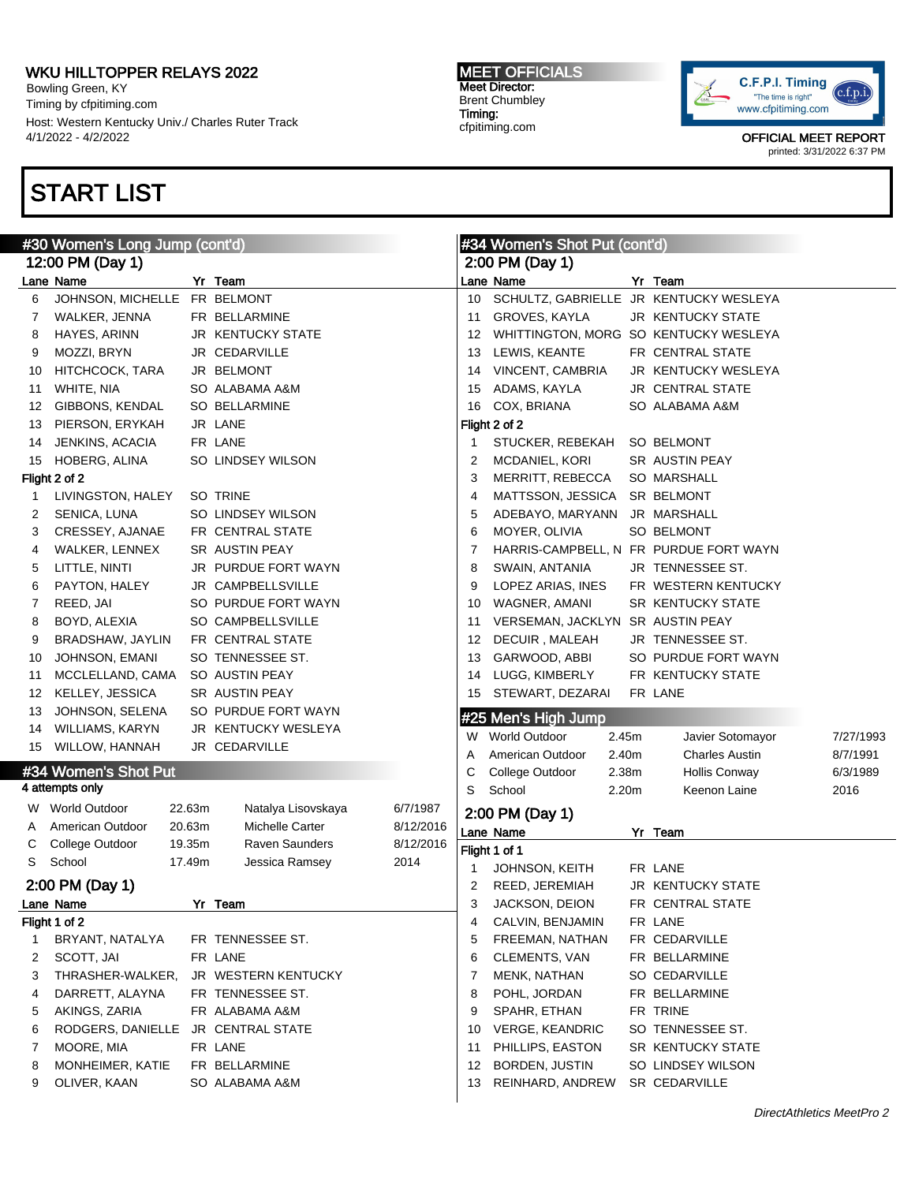Bowling Green, KY Timing by cfpitiming.com Host: Western Kentucky Univ./ Charles Ruter Track 4/1/2022 - 4/2/2022

# START LIST

#### MEET OFFICIALS Meet Director: Brent Chumbley Timing: cfpitiming.com



|    | #30 Women's Long Jump (cont'd) |                  |                                              |                        | #34 Women's Shot Put (cont'd) |                                     |                |                                        |           |
|----|--------------------------------|------------------|----------------------------------------------|------------------------|-------------------------------|-------------------------------------|----------------|----------------------------------------|-----------|
|    | 12:00 PM (Day 1)               |                  |                                              |                        | 2:00 PM (Day 1)               |                                     |                |                                        |           |
|    | Lane Name                      |                  | Yr Team                                      |                        |                               | Lane Name                           |                | Yr Team                                |           |
| 6  | JOHNSON, MICHELLE FR BELMONT   |                  |                                              |                        | 10                            |                                     |                | SCHULTZ, GABRIELLE JR KENTUCKY WESLEYA |           |
| 7  | WALKER, JENNA                  |                  | FR BELLARMINE                                |                        | 11                            | GROVES, KAYLA                       |                | JR KENTUCKY STATE                      |           |
| 8  | HAYES, ARINN                   |                  | <b>JR KENTUCKY STATE</b>                     |                        | 12                            |                                     |                | WHITTINGTON, MORG SO KENTUCKY WESLEYA  |           |
| 9  | MOZZI, BRYN                    |                  | JR CEDARVILLE                                |                        | 13                            | LEWIS, KEANTE                       |                | FR CENTRAL STATE                       |           |
| 10 | HITCHCOCK, TARA                |                  | JR BELMONT                                   |                        | 14                            | VINCENT, CAMBRIA                    |                | JR KENTUCKY WESLEYA                    |           |
| 11 | WHITE, NIA                     |                  | SO ALABAMA A&M                               |                        | 15                            | ADAMS, KAYLA                        |                | <b>JR CENTRAL STATE</b>                |           |
| 12 | GIBBONS, KENDAL                |                  | <b>SO BELLARMINE</b>                         |                        | 16                            | COX, BRIANA                         |                | SO ALABAMA A&M                         |           |
| 13 | PIERSON, ERYKAH                |                  | JR LANE                                      |                        |                               | Flight 2 of 2                       |                |                                        |           |
| 14 | JENKINS, ACACIA                |                  | FR LANE                                      |                        | $\mathbf{1}$                  | STUCKER, REBEKAH                    |                | SO BELMONT                             |           |
| 15 | HOBERG, ALINA                  |                  | SO LINDSEY WILSON                            |                        | $\overline{2}$                | MCDANIEL, KORI                      |                | SR AUSTIN PEAY                         |           |
|    | Flight 2 of 2                  |                  |                                              |                        | 3                             | MERRITT, REBECCA                    |                | <b>SO MARSHALL</b>                     |           |
| 1  | LIVINGSTON, HALEY              |                  | SO TRINE                                     |                        | 4                             | MATTSSON, JESSICA                   |                | SR BELMONT                             |           |
| 2  | SENICA, LUNA                   |                  | SO LINDSEY WILSON                            |                        | 5                             | ADEBAYO, MARYANN                    |                | JR MARSHALL                            |           |
| 3  | CRESSEY, AJANAE                |                  | FR CENTRAL STATE                             |                        | 6                             | MOYER, OLIVIA                       |                | SO BELMONT                             |           |
| 4  | WALKER, LENNEX                 |                  | <b>SR AUSTIN PEAY</b>                        |                        | 7                             |                                     |                | HARRIS-CAMPBELL, N FR PURDUE FORT WAYN |           |
| 5  | LITTLE, NINTI                  |                  | <b>JR PURDUE FORT WAYN</b>                   |                        | 8                             | SWAIN, ANTANIA                      |                | JR TENNESSEE ST.                       |           |
| 6  | PAYTON, HALEY                  |                  | JR CAMPBELLSVILLE                            |                        | 9                             | LOPEZ ARIAS, INES                   |                | FR WESTERN KENTUCKY                    |           |
| 7  | REED, JAI                      |                  | SO PURDUE FORT WAYN                          |                        | 10                            | WAGNER, AMANI                       |                | <b>SR KENTUCKY STATE</b>               |           |
| 8  | BOYD, ALEXIA                   |                  | <b>SO CAMPBELLSVILLE</b>                     |                        | 11                            | VERSEMAN, JACKLYN SR AUSTIN PEAY    |                |                                        |           |
| 9  | BRADSHAW, JAYLIN               |                  | FR CENTRAL STATE                             |                        | 12                            | DECUIR, MALEAH                      |                | JR TENNESSEE ST.                       |           |
| 10 | JOHNSON, EMANI                 |                  | SO TENNESSEE ST.                             |                        | 13                            | GARWOOD, ABBI                       |                | SO PURDUE FORT WAYN                    |           |
| 11 | MCCLELLAND, CAMA               |                  | SO AUSTIN PEAY                               |                        | 14                            | LUGG, KIMBERLY                      |                | FR KENTUCKY STATE                      |           |
| 12 | KELLEY, JESSICA                |                  | SR AUSTIN PEAY                               |                        | 15                            | STEWART, DEZARAI                    |                | FR LANE                                |           |
| 13 | JOHNSON, SELENA                |                  | SO PURDUE FORT WAYN                          |                        |                               |                                     |                |                                        |           |
| 14 | <b>WILLIAMS, KARYN</b>         |                  | JR KENTUCKY WESLEYA                          |                        |                               | #25 Men's High Jump                 |                |                                        |           |
| 15 | WILLOW, HANNAH                 |                  | JR CEDARVILLE                                |                        |                               | W World Outdoor<br>American Outdoor | 2.45m          | Javier Sotomayor                       | 7/27/1993 |
|    | #34 Women's Shot Put           |                  |                                              |                        | Α                             |                                     | 2.40m          | <b>Charles Austin</b>                  | 8/7/1991  |
|    | 4 attempts only                |                  |                                              |                        | С                             | College Outdoor<br>School           | 2.38m<br>2.20m | Hollis Conway                          | 6/3/1989  |
|    | W World Outdoor                | 22.63m           |                                              |                        | S                             |                                     |                | Keenon Laine                           | 2016      |
|    |                                | 20.63m           | Natalya Lisovskaya<br><b>Michelle Carter</b> | 6/7/1987               |                               | 2:00 PM (Day 1)                     |                |                                        |           |
| A  | American Outdoor               |                  | <b>Raven Saunders</b>                        | 8/12/2016<br>8/12/2016 |                               | Lane Name                           |                | Yr Team                                |           |
| С  | College Outdoor<br>School      | 19.35m<br>17.49m |                                              |                        |                               | Flight 1 of 1                       |                |                                        |           |
| S  |                                |                  | Jessica Ramsey                               | 2014                   | -1                            | JOHNSON, KEITH                      |                | FR LANE                                |           |
|    | 2:00 PM (Day 1)                |                  |                                              |                        | 2                             | REED, JEREMIAH                      |                | JR KENTUCKY STATE                      |           |
|    | Lane Name                      |                  | Yr Team                                      |                        | 3                             | JACKSON, DEION                      |                | FR CENTRAL STATE                       |           |
|    | Flight 1 of 2                  |                  |                                              |                        | 4                             | CALVIN, BENJAMIN                    |                | FR LANE                                |           |
| 1  | BRYANT, NATALYA                |                  | FR TENNESSEE ST.                             |                        | 5                             | FREEMAN, NATHAN                     |                | FR CEDARVILLE                          |           |
| 2  | SCOTT, JAI                     |                  | FR LANE                                      |                        | 6                             | CLEMENTS, VAN                       |                | FR BELLARMINE                          |           |
| 3  | THRASHER-WALKER,               |                  | JR WESTERN KENTUCKY                          |                        | 7                             | MENK, NATHAN                        |                | SO CEDARVILLE                          |           |
| 4  | DARRETT, ALAYNA                |                  | FR TENNESSEE ST.                             |                        | 8                             | POHL, JORDAN                        |                | FR BELLARMINE                          |           |
| 5  | AKINGS, ZARIA                  |                  | FR ALABAMA A&M                               |                        | 9                             | SPAHR, ETHAN                        |                | FR TRINE                               |           |
| 6  | RODGERS, DANIELLE              |                  | JR CENTRAL STATE                             |                        | 10                            | <b>VERGE, KEANDRIC</b>              |                | SO TENNESSEE ST.                       |           |
| 7  | MOORE, MIA                     |                  | FR LANE                                      |                        | 11                            | PHILLIPS, EASTON                    |                | SR KENTUCKY STATE                      |           |
| 8  | MONHEIMER, KATIE               |                  | FR BELLARMINE                                |                        | 12                            | BORDEN, JUSTIN                      |                | SO LINDSEY WILSON                      |           |
| 9  | OLIVER, KAAN                   |                  | SO ALABAMA A&M                               |                        | 13                            | REINHARD, ANDREW                    |                | SR CEDARVILLE                          |           |
|    |                                |                  |                                              |                        |                               |                                     |                |                                        |           |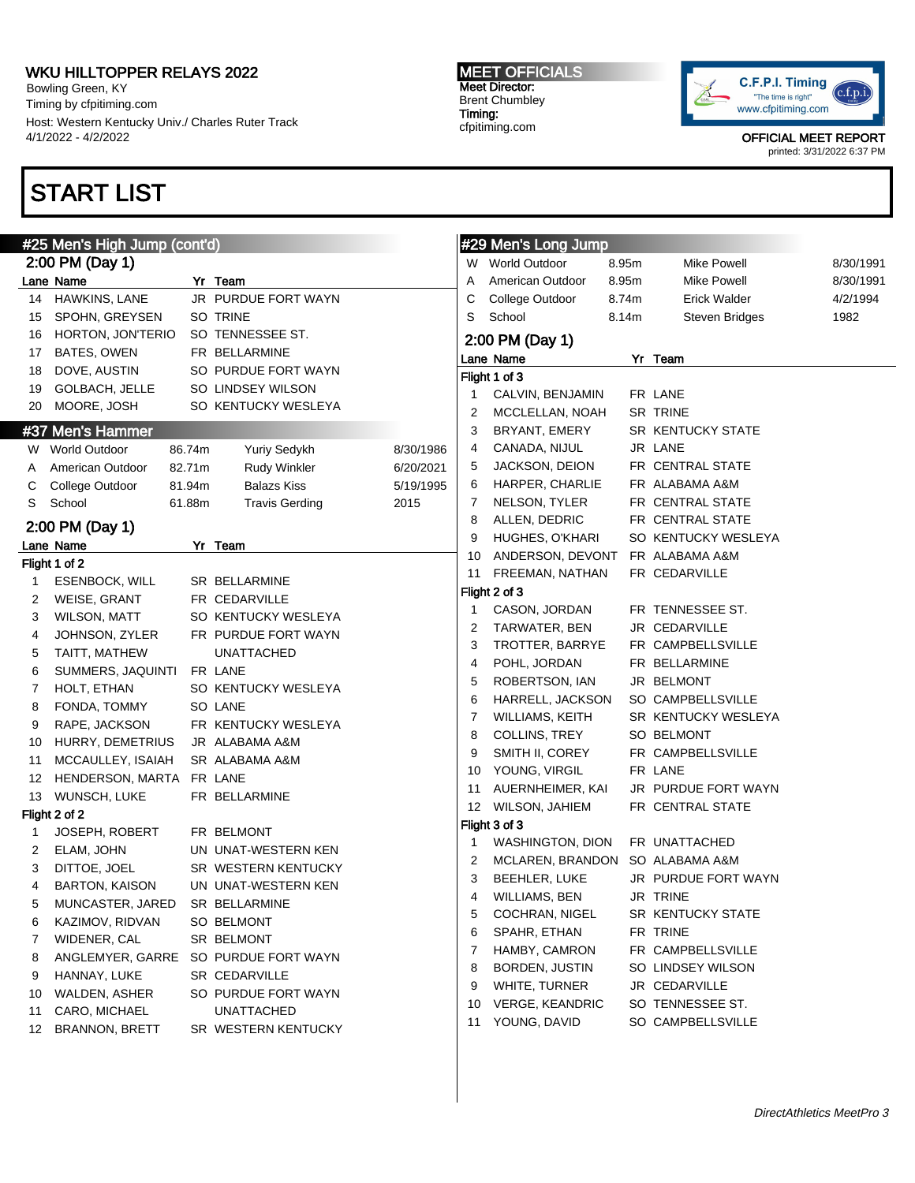Bowling Green, KY Timing by cfpitiming.com Host: Western Kentucky Univ./ Charles Ruter Track 4/1/2022 - 4/2/2022

# START LIST

#### #25 Men's High Jump (cont'd) 2:00 PM (Day 1) Lane Name Yr Team 14 HAWKINS, LANE JR PURDUE FORT WAYN 15 SPOHN, GREYSEN SO TRINE 16 HORTON, JON'TERIO SO TENNESSEE ST. 17 BATES, OWEN FR BELLARMINE 18 DOVE, AUSTIN SO PURDUE FORT WAYN 19 GOLBACH, JELLE SO LINDSEY WILSON 20 MOORE, JOSH SO KENTUCKY WESLEYA #37 Men's Hammer W World Outdoor 86.74m Yuriy Sedykh 8/30/1986 A American Outdoor 82.71m Rudy Winkler 6/20/2021 C College Outdoor 81.94m Balazs Kiss 5/19/1995 S School 61.88m Travis Gerding 2015 2:00 PM (Day 1) Lane Name Yr Team Flight 1 of 2 1 ESENBOCK, WILL SR BELLARMINE 2 WEISE, GRANT FR CEDARVILLE 3 WILSON, MATT SO KENTUCKY WESLEYA 4 JOHNSON, ZYLER FR PURDUE FORT WAYN 5 TAITT, MATHEW UNATTACHED 6 SUMMERS, JAQUINTI FR LANE 7 HOLT, ETHAN SO KENTUCKY WESLEYA 8 FONDA, TOMMY SO LANE 9 RAPE, JACKSON FR KENTUCKY WESLEYA 10 HURRY, DEMETRIUS JR ALABAMA A&M 11 MCCAULLEY, ISAIAH SR ALABAMA A&M 12 HENDERSON, MARTA FR LANE 13 WUNSCH, LUKE FR BELLARMINE Flight 2 of 2 1 JOSEPH, ROBERT FR BELMONT 2 ELAM, JOHN UN UNAT-WESTERN KEN 3 DITTOE, JOEL SR WESTERN KENTUCKY 4 BARTON, KAISON UN UNAT-WESTERN KEN 5 MUNCASTER, JARED SR BELLARMINE 6 KAZIMOV, RIDVAN SO BELMONT 7 WIDENER, CAL SR BELMONT 8 ANGLEMYER, GARRE SO PURDUE FORT WAYN 9 HANNAY, LUKE SR CEDARVILLE 10 WALDEN, ASHER SO PURDUE FORT WAYN 11 CARO, MICHAEL UNATTACHED 12 BRANNON, BRETT SR WESTERN KENTUCKY #29 Men's Long Jump W World Outdoor 8.95m Mike Powell 8/30/1991 A American Outdoor 8.95m Mike Powell 8/30/1991 C College Outdoor 8.74m Erick Walder 4/2/1994 S School 8.14m Steven Bridges 1982 2:00 PM (Day 1) Lane Name Yr Team Flight 1 of 3 1 CALVIN, BENJAMIN FR LANE 2 MCCLELLAN, NOAH SR TRINE 3 BRYANT, EMERY SR KENTUCKY STATE 4 CANADA, NIJUL JR LANE 5 JACKSON, DEION FR CENTRAL STATE 6 HARPER, CHARLIE FR ALABAMA A&M 7 NELSON, TYLER FR CENTRAL STATE 8 ALLEN, DEDRIC FR CENTRAL STATE 9 HUGHES, O'KHARI SO KENTUCKY WESLEYA 10 ANDERSON, DEVONT FR ALABAMA A&M 11 FREEMAN, NATHAN FR CEDARVILLE Flight 2 of 3 1 CASON, JORDAN FR TENNESSEE ST. 2 TARWATER, BEN JR CEDARVILLE 3 TROTTER, BARRYE FR CAMPBELLSVILLE 4 POHL, JORDAN FR BELLARMINE 5 ROBERTSON, IAN JR BELMONT 6 HARRELL, JACKSON SO CAMPBELLSVILLE 7 WILLIAMS, KEITH SR KENTUCKY WESLEYA 8 COLLINS, TREY SO BELMONT 9 SMITH II, COREY FR CAMPBELLSVILLE 10 YOUNG, VIRGIL FR LANE 11 AUERNHEIMER, KAI JR PURDUE FORT WAYN 12 WILSON, JAHIEM FR CENTRAL STATE Flight 3 of 3 1 WASHINGTON, DION FR UNATTACHED 2 MCLAREN, BRANDON SO ALABAMA A&M 3 BEEHLER, LUKE JR PURDUE FORT WAYN 4 WILLIAMS, BEN JR TRINE 5 COCHRAN, NIGEL SR KENTUCKY STATE 6 SPAHR, ETHAN FR TRINE 7 HAMBY, CAMRON FR CAMPBELLSVILLE 8 BORDEN, JUSTIN SO LINDSEY WILSON 9 WHITE, TURNER JR CEDARVILLE 10 VERGE, KEANDRIC SO TENNESSEE ST. 11 YOUNG, DAVID SO CAMPBELLSVILLE

MEET OFFICIALS Meet Director: Brent Chumbley Timing: cfpitiming.com



OFFICIAL MEET REPORT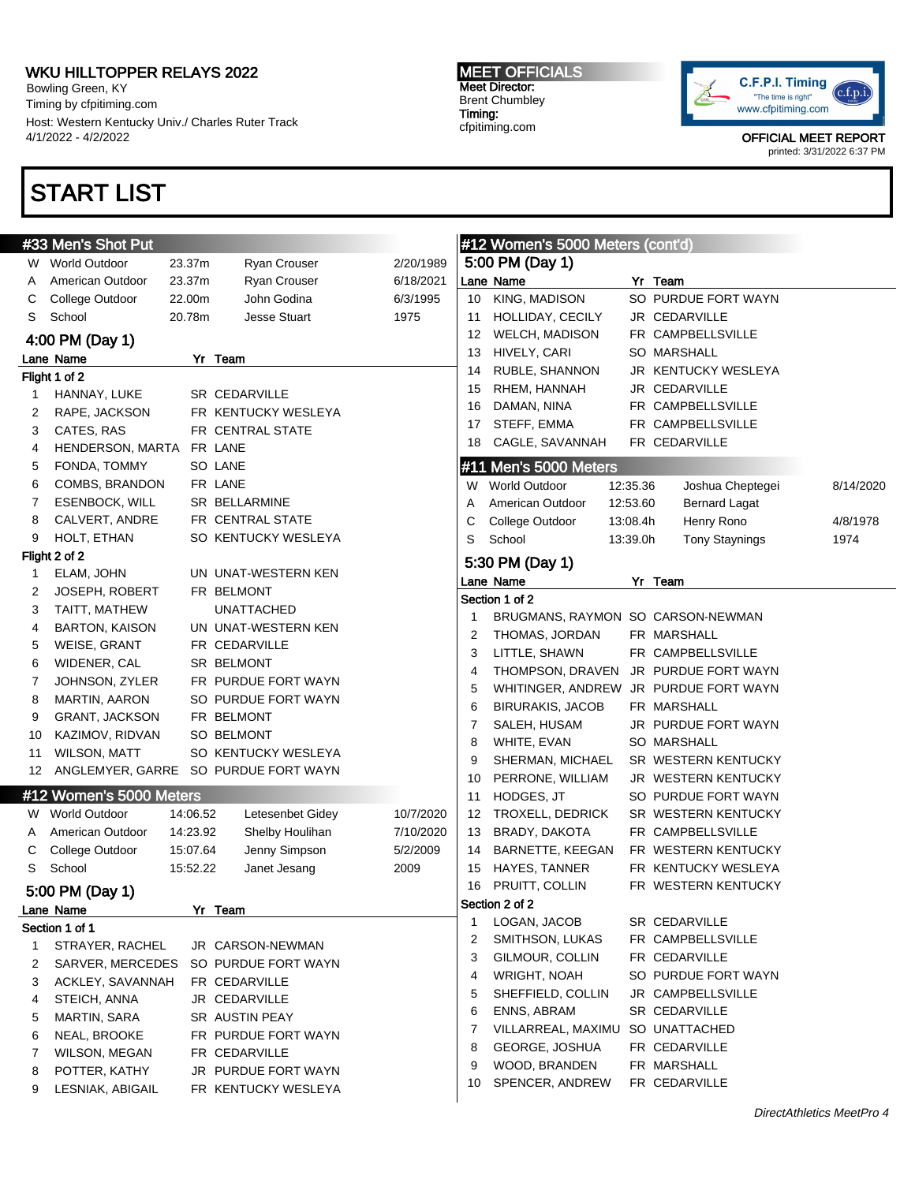Bowling Green, KY Timing by cfpitiming.com Host: Western Kentucky Univ./ Charles Ruter Track 4/1/2022 - 4/2/2022

# START LIST

#### MEET OFFICIALS Meet Director: Brent Chumbley Timing: cfpitiming.com



|              | #33 Men's Shot Put      |          |                                      |           |    | #12 Women's 5000 Meters (cont'd)      |          |                       |           |
|--------------|-------------------------|----------|--------------------------------------|-----------|----|---------------------------------------|----------|-----------------------|-----------|
|              | W World Outdoor         | 23.37m   | Ryan Crouser                         | 2/20/1989 |    | 5:00 PM (Day 1)                       |          |                       |           |
| A            | American Outdoor        | 23.37m   | Ryan Crouser                         | 6/18/2021 |    | Lane Name                             |          | Yr Team               |           |
| С            | College Outdoor         | 22.00m   | John Godina                          | 6/3/1995  | 10 | KING, MADISON                         |          | SO PURDUE FORT WAYN   |           |
| S            | School                  | 20.78m   | <b>Jesse Stuart</b>                  | 1975      | 11 | HOLLIDAY, CECILY                      |          | JR CEDARVILLE         |           |
|              | 4:00 PM (Day 1)         |          |                                      |           | 12 | WELCH, MADISON                        |          | FR CAMPBELLSVILLE     |           |
|              | Lane Name               |          | Yr Team                              |           | 13 | HIVELY, CARI                          |          | <b>SO MARSHALL</b>    |           |
|              | Flight 1 of 2           |          |                                      |           | 14 | RUBLE, SHANNON                        |          | JR KENTUCKY WESLEYA   |           |
| 1            | HANNAY, LUKE            |          | SR CEDARVILLE                        |           | 15 | RHEM, HANNAH                          |          | JR CEDARVILLE         |           |
| 2            | RAPE, JACKSON           |          | FR KENTUCKY WESLEYA                  |           | 16 | DAMAN, NINA                           |          | FR CAMPBELLSVILLE     |           |
| 3            | CATES, RAS              |          | FR CENTRAL STATE                     |           | 17 | STEFF, EMMA                           |          | FR CAMPBELLSVILLE     |           |
| 4            | HENDERSON, MARTA        |          | FR LANE                              |           | 18 | CAGLE, SAVANNAH                       |          | FR CEDARVILLE         |           |
| 5            | FONDA, TOMMY            |          | SO LANE                              |           |    | #11 Men's 5000 Meters                 |          |                       |           |
| 6            | COMBS, BRANDON          |          | FR LANE                              |           |    | W World Outdoor                       | 12:35.36 | Joshua Cheptegei      | 8/14/2020 |
| 7            | ESENBOCK, WILL          |          | SR BELLARMINE                        |           | Α  | American Outdoor                      | 12:53.60 | <b>Bernard Lagat</b>  |           |
| 8            | CALVERT, ANDRE          |          | FR CENTRAL STATE                     |           | С  | College Outdoor                       | 13:08.4h | Henry Rono            | 4/8/1978  |
| 9            | HOLT, ETHAN             |          | SO KENTUCKY WESLEYA                  |           | S  | School                                | 13:39.0h | <b>Tony Staynings</b> | 1974      |
|              | Flight 2 of 2           |          |                                      |           |    | 5:30 PM (Day 1)                       |          |                       |           |
| 1            | ELAM, JOHN              |          | UN UNAT-WESTERN KEN                  |           |    | Lane Name                             |          | Yr Team               |           |
| 2            | <b>JOSEPH, ROBERT</b>   |          | FR BELMONT                           |           |    | Section 1 of 2                        |          |                       |           |
| 3            | TAITT, MATHEW           |          | <b>UNATTACHED</b>                    |           | 1  | BRUGMANS, RAYMON SO CARSON-NEWMAN     |          |                       |           |
| 4            | <b>BARTON, KAISON</b>   |          | UN UNAT-WESTERN KEN                  |           | 2  | THOMAS, JORDAN                        |          | FR MARSHALL           |           |
| 5            | WEISE, GRANT            |          | FR CEDARVILLE                        |           | 3  | LITTLE, SHAWN                         |          | FR CAMPBELLSVILLE     |           |
| 6            | WIDENER, CAL            |          | SR BELMONT                           |           | 4  | THOMPSON, DRAVEN JR PURDUE FORT WAYN  |          |                       |           |
| 7            | JOHNSON, ZYLER          |          | FR PURDUE FORT WAYN                  |           | 5  | WHITINGER, ANDREW JR PURDUE FORT WAYN |          |                       |           |
| 8            | <b>MARTIN, AARON</b>    |          | SO PURDUE FORT WAYN                  |           | 6  | <b>BIRURAKIS, JACOB</b>               |          | FR MARSHALL           |           |
| 9            | GRANT, JACKSON          |          | FR BELMONT                           |           | 7  | SALEH, HUSAM                          |          | JR PURDUE FORT WAYN   |           |
| 10           | KAZIMOV, RIDVAN         |          | SO BELMONT                           |           | 8  | WHITE, EVAN                           |          | SO MARSHALL           |           |
| 11           | WILSON, MATT            |          | SO KENTUCKY WESLEYA                  |           | 9  | SHERMAN, MICHAEL                      |          | SR WESTERN KENTUCKY   |           |
| 12           |                         |          | ANGLEMYER, GARRE SO PURDUE FORT WAYN |           | 10 | PERRONE, WILLIAM                      |          | JR WESTERN KENTUCKY   |           |
|              | #12 Women's 5000 Meters |          |                                      |           | 11 | HODGES, JT                            |          | SO PURDUE FORT WAYN   |           |
| W            | <b>World Outdoor</b>    | 14:06.52 | Letesenbet Gidey                     | 10/7/2020 | 12 | TROXELL, DEDRICK                      |          | SR WESTERN KENTUCKY   |           |
| A            | American Outdoor        | 14:23.92 | Shelby Houlihan                      | 7/10/2020 | 13 | BRADY, DAKOTA                         |          | FR CAMPBELLSVILLE     |           |
| С            | College Outdoor         | 15:07.64 | Jenny Simpson                        | 5/2/2009  | 14 | BARNETTE, KEEGAN                      |          | FR WESTERN KENTUCKY   |           |
| S            | School                  | 15:52.22 | Janet Jesang                         | 2009      | 15 | HAYES, TANNER                         |          | FR KENTUCKY WESLEYA   |           |
|              | 5:00 PM (Day 1)         |          |                                      |           |    | 16 PRUITT, COLLIN                     |          | FR WESTERN KENTUCKY   |           |
|              | Lane Name               |          | Yr Team                              |           |    | Section 2 of 2                        |          |                       |           |
|              | Section 1 of 1          |          |                                      |           | 1  | LOGAN, JACOB                          |          | SR CEDARVILLE         |           |
| $\mathbf{1}$ | STRAYER, RACHEL         |          | JR CARSON-NEWMAN                     |           | 2  | SMITHSON, LUKAS                       |          | FR CAMPBELLSVILLE     |           |
| 2            | SARVER, MERCEDES        |          | SO PURDUE FORT WAYN                  |           | 3  | GILMOUR, COLLIN                       |          | FR CEDARVILLE         |           |
| 3            | ACKLEY, SAVANNAH        |          | FR CEDARVILLE                        |           | 4  | <b>WRIGHT, NOAH</b>                   |          | SO PURDUE FORT WAYN   |           |
| 4            | STEICH, ANNA            |          | JR CEDARVILLE                        |           | 5  | SHEFFIELD, COLLIN                     |          | JR CAMPBELLSVILLE     |           |
| 5            | MARTIN, SARA            |          | SR AUSTIN PEAY                       |           | 6  | ENNS, ABRAM                           |          | SR CEDARVILLE         |           |
| 6            | NEAL, BROOKE            |          | FR PURDUE FORT WAYN                  |           | 7  | VILLARREAL, MAXIMU                    |          | SO UNATTACHED         |           |
| 7            | WILSON, MEGAN           |          | FR CEDARVILLE                        |           | 8  | GEORGE, JOSHUA                        |          | FR CEDARVILLE         |           |
| 8            | POTTER, KATHY           |          | JR PURDUE FORT WAYN                  |           | 9  | WOOD, BRANDEN                         |          | FR MARSHALL           |           |
| 9            | LESNIAK, ABIGAIL        |          | FR KENTUCKY WESLEYA                  |           | 10 | SPENCER, ANDREW                       |          | FR CEDARVILLE         |           |
|              |                         |          |                                      |           |    |                                       |          |                       |           |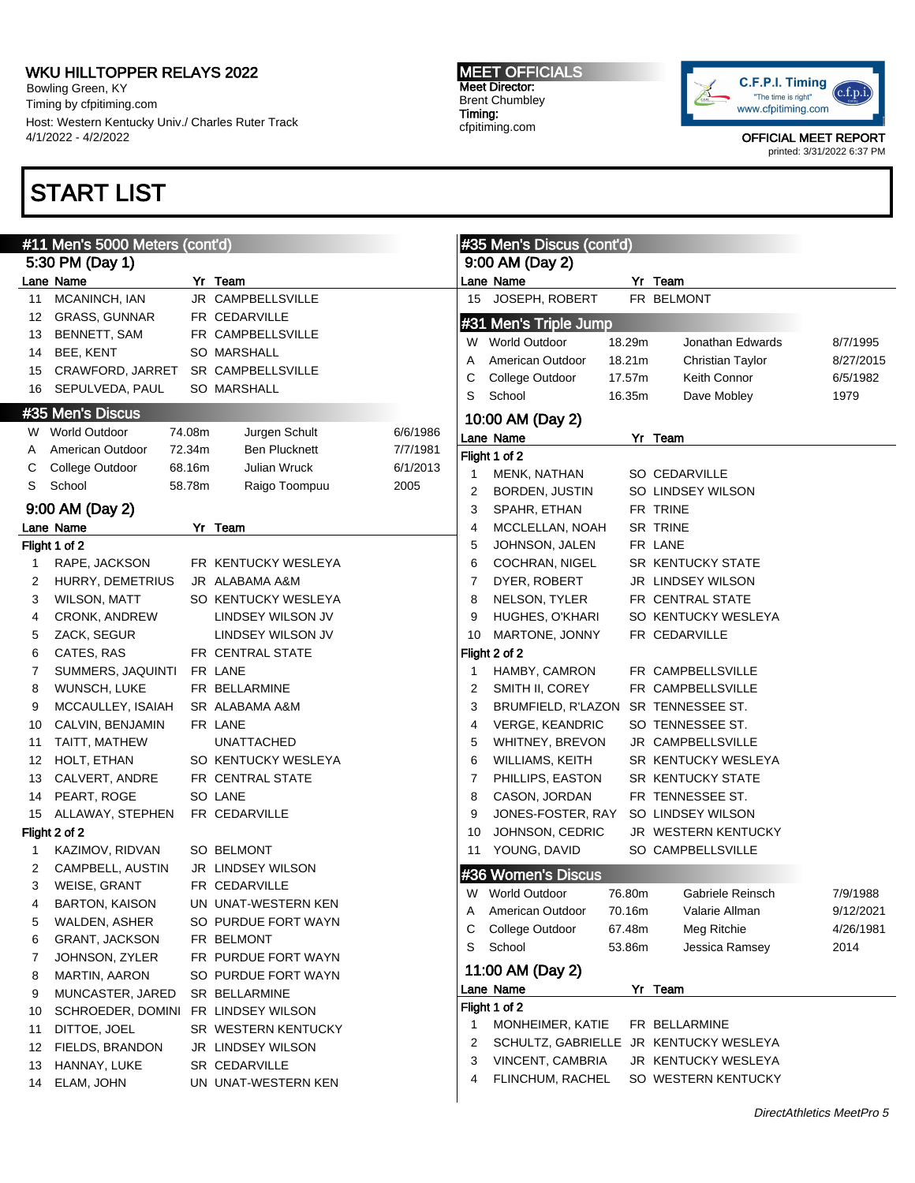Bowling Green, KY Timing by cfpitiming.com Host: Western Kentucky Univ./ Charles Ruter Track 4/1/2022 - 4/2/2022

# START LIST

#### MEET OFFICIALS Meet Director: Brent Chumbley Timing: cfpitiming.com



|    | #11 Men's 5000 Meters (cont'd)     |        |                      |          | #35 Men's Discus (cont'd) |                           |        |                     |           |
|----|------------------------------------|--------|----------------------|----------|---------------------------|---------------------------|--------|---------------------|-----------|
|    | 5:30 PM (Day 1)                    |        |                      |          |                           | 9:00 AM (Day 2)           |        |                     |           |
|    | Lane Name                          |        | Yr Team              |          |                           | Lane Name                 |        | Yr Team             |           |
| 11 | MCANINCH, IAN                      |        | JR CAMPBELLSVILLE    |          | 15                        | JOSEPH, ROBERT            |        | FR BELMONT          |           |
| 12 | <b>GRASS, GUNNAR</b>               |        | FR CEDARVILLE        |          |                           | #31 Men's Triple Jump     |        |                     |           |
| 13 | BENNETT, SAM                       |        | FR CAMPBELLSVILLE    |          |                           | W World Outdoor           | 18.29m | Jonathan Edwards    | 8/7/1995  |
| 14 | BEE, KENT                          |        | <b>SO MARSHALL</b>   |          | Α                         | American Outdoor          | 18.21m | Christian Taylor    | 8/27/2015 |
| 15 | CRAWFORD, JARRET SR CAMPBELLSVILLE |        |                      |          | С                         | College Outdoor           | 17.57m | Keith Connor        | 6/5/1982  |
| 16 | SEPULVEDA, PAUL                    |        | <b>SO MARSHALL</b>   |          | S                         | School                    | 16.35m | Dave Mobley         | 1979      |
|    | #35 Men's Discus                   |        |                      |          |                           | 10:00 AM (Day 2)          |        |                     |           |
|    | W World Outdoor                    | 74.08m | Jurgen Schult        | 6/6/1986 |                           | Lane Name                 |        | Yr Team             |           |
| A  | American Outdoor                   | 72.34m | <b>Ben Plucknett</b> | 7/7/1981 |                           | Flight 1 of 2             |        |                     |           |
| С  | College Outdoor                    | 68.16m | Julian Wruck         | 6/1/2013 | 1                         | MENK, NATHAN              |        | SO CEDARVILLE       |           |
| S  | School                             | 58.78m | Raigo Toompuu        | 2005     | 2                         | BORDEN, JUSTIN            |        | SO LINDSEY WILSON   |           |
|    | 9:00 AM (Day 2)                    |        |                      |          | 3                         | SPAHR, ETHAN              |        | FR TRINE            |           |
|    | Lane Name                          |        | Yr Team              |          | 4                         | MCCLELLAN, NOAH           |        | <b>SR TRINE</b>     |           |
|    | Flight 1 of 2                      |        |                      |          | 5                         | JOHNSON, JALEN            |        | FR LANE             |           |
| 1  | RAPE, JACKSON                      |        | FR KENTUCKY WESLEYA  |          | 6                         | <b>COCHRAN, NIGEL</b>     |        | SR KENTUCKY STATE   |           |
| 2  | HURRY, DEMETRIUS                   |        | JR ALABAMA A&M       |          | 7                         | DYER, ROBERT              |        | JR LINDSEY WILSON   |           |
| 3  | WILSON, MATT                       |        | SO KENTUCKY WESLEYA  |          | 8                         | NELSON, TYLER             |        | FR CENTRAL STATE    |           |
| 4  | <b>CRONK, ANDREW</b>               |        | LINDSEY WILSON JV    |          | 9                         | HUGHES, O'KHARI           |        | SO KENTUCKY WESLEYA |           |
| 5  | ZACK, SEGUR                        |        | LINDSEY WILSON JV    |          | 10                        | MARTONE, JONNY            |        | FR CEDARVILLE       |           |
| 6  | CATES, RAS                         |        | FR CENTRAL STATE     |          |                           | Flight 2 of 2             |        |                     |           |
| 7  | SUMMERS, JAQUINTI                  |        | FR LANE              |          | 1                         | HAMBY, CAMRON             |        | FR CAMPBELLSVILLE   |           |
| 8  | WUNSCH, LUKE                       |        | FR BELLARMINE        |          | 2                         | SMITH II, COREY           |        | FR CAMPBELLSVILLE   |           |
| 9  | MCCAULLEY, ISAIAH                  |        | SR ALABAMA A&M       |          | 3                         | BRUMFIELD, R'LAZON        |        | SR TENNESSEE ST.    |           |
| 10 | CALVIN, BENJAMIN                   |        | FR LANE              |          | 4                         | <b>VERGE, KEANDRIC</b>    |        | SO TENNESSEE ST.    |           |
| 11 | TAITT, MATHEW                      |        | <b>UNATTACHED</b>    |          | 5                         | WHITNEY, BREVON           |        | JR CAMPBELLSVILLE   |           |
| 12 | HOLT, ETHAN                        |        | SO KENTUCKY WESLEYA  |          | 6                         | WILLIAMS, KEITH           |        | SR KENTUCKY WESLEYA |           |
| 13 | CALVERT, ANDRE                     |        | FR CENTRAL STATE     |          | 7                         | PHILLIPS, EASTON          |        | SR KENTUCKY STATE   |           |
| 14 | PEART, ROGE                        |        | SO LANE              |          | 8                         | CASON, JORDAN             |        | FR TENNESSEE ST.    |           |
| 15 | ALLAWAY, STEPHEN                   |        | FR CEDARVILLE        |          | 9                         | JONES-FOSTER, RAY         |        | SO LINDSEY WILSON   |           |
|    | Flight 2 of 2                      |        |                      |          | 10                        | JOHNSON, CEDRIC           |        | JR WESTERN KENTUCKY |           |
| 1  | KAZIMOV, RIDVAN                    |        | SO BELMONT           |          | 11                        | YOUNG, DAVID              |        | SO CAMPBELLSVILLE   |           |
| 2  | CAMPBELL, AUSTIN                   |        | JR LINDSEY WILSON    |          |                           | #36 Women's Discus        |        |                     |           |
| 3  | WEISE, GRANT                       |        | FR CEDARVILLE        |          |                           | W World Outdoor           | 76.80m | Gabriele Reinsch    | 7/9/1988  |
| 4  | <b>BARTON, KAISON</b>              |        | UN UNAT-WESTERN KEN  |          |                           | American Outdoor          | 70.16m | Valarie Allman      | 9/12/2021 |
| 5  | WALDEN, ASHER                      |        | SO PURDUE FORT WAYN  |          | A<br>С                    | College Outdoor           | 67.48m | Meg Ritchie         | 4/26/1981 |
| 6  | GRANT, JACKSON                     |        | FR BELMONT           |          | S                         | School                    | 53.86m | Jessica Ramsey      | 2014      |
| 7  | JOHNSON, ZYLER                     |        | FR PURDUE FORT WAYN  |          |                           |                           |        |                     |           |
| 8  | MARTIN, AARON                      |        | SO PURDUE FORT WAYN  |          |                           | 11:00 AM (Day 2)          |        |                     |           |
| 9  | MUNCASTER, JARED                   |        | SR BELLARMINE        |          |                           | Lane Name                 |        | Yr Team             |           |
| 10 | SCHROEDER, DOMINI                  |        | FR LINDSEY WILSON    |          |                           | Flight 1 of 2             |        |                     |           |
| 11 | DITTOE, JOEL                       |        | SR WESTERN KENTUCKY  |          | 1                         | MONHEIMER, KATIE          |        | FR BELLARMINE       |           |
| 12 | FIELDS, BRANDON                    |        | JR LINDSEY WILSON    |          | 2                         | <b>SCHULTZ, GABRIELLE</b> |        | JR KENTUCKY WESLEYA |           |
| 13 | HANNAY, LUKE                       |        | <b>SR CEDARVILLE</b> |          | 3                         | VINCENT, CAMBRIA          |        | JR KENTUCKY WESLEYA |           |
| 14 | ELAM, JOHN                         |        | UN UNAT-WESTERN KEN  |          | 4                         | FLINCHUM, RACHEL          |        | SO WESTERN KENTUCKY |           |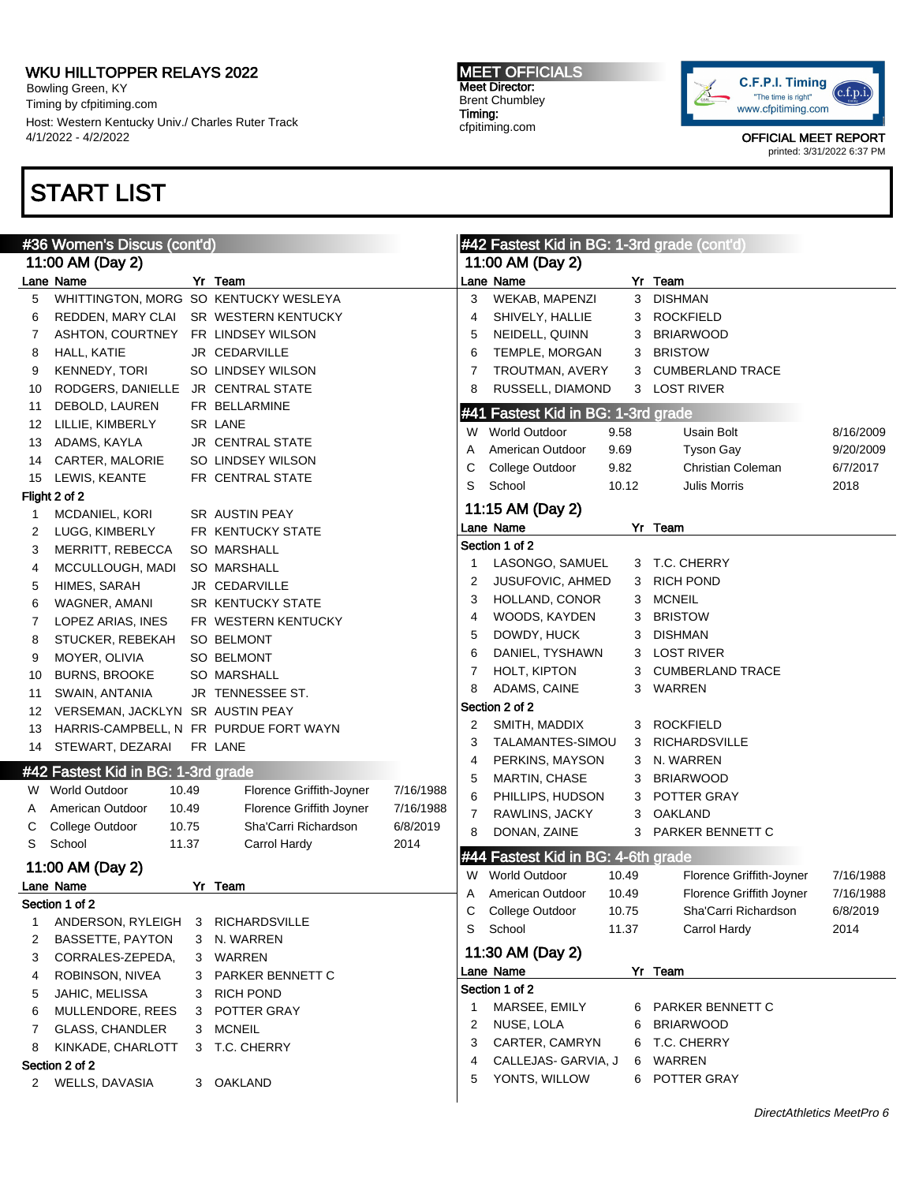Bowling Green, KY Timing by cfpitiming.com Host: Western Kentucky Univ./ Charles Ruter Track 4/1/2022 - 4/2/2022

# START LIST

### MEET OFFICIALS Meet Director: Brent Chumbley Timing: cfpitiming.com



|    | #36 Women's Discus (cont'd)            |                          |           | #42 Fastest Kid in BG: 1-3rd grade (cont'd) |                                    |       |                          |           |
|----|----------------------------------------|--------------------------|-----------|---------------------------------------------|------------------------------------|-------|--------------------------|-----------|
|    | 11:00 AM (Day 2)                       |                          |           | 11:00 AM (Day 2)                            |                                    |       |                          |           |
|    | Lane Name                              | Yr Team                  |           |                                             | Lane Name                          |       | Yr Team                  |           |
| 5  | WHITTINGTON, MORG SO KENTUCKY WESLEYA  |                          |           | 3                                           | WEKAB, MAPENZI                     |       | 3 DISHMAN                |           |
| 6  | REDDEN, MARY CLAI                      | SR WESTERN KENTUCKY      |           | 4                                           | SHIVELY, HALLIE                    |       | 3 ROCKFIELD              |           |
| 7  | ASHTON, COURTNEY                       | FR LINDSEY WILSON        |           | 5                                           | NEIDELL, QUINN                     | 3     | <b>BRIARWOOD</b>         |           |
| 8  | HALL, KATIE                            | JR CEDARVILLE            |           | 6                                           | TEMPLE, MORGAN                     | 3     | <b>BRISTOW</b>           |           |
| 9  | KENNEDY, TORI                          | SO LINDSEY WILSON        |           | 7                                           | TROUTMAN, AVERY                    |       | 3 CUMBERLAND TRACE       |           |
| 10 | RODGERS, DANIELLE JR CENTRAL STATE     |                          |           | 8                                           | RUSSELL, DIAMOND                   |       | 3 LOST RIVER             |           |
| 11 | DEBOLD, LAUREN                         | FR BELLARMINE            |           |                                             |                                    |       |                          |           |
| 12 | LILLIE, KIMBERLY                       | SR LANE                  |           |                                             | #41 Fastest Kid in BG: 1-3rd grade |       |                          |           |
| 13 | ADAMS, KAYLA                           | <b>JR CENTRAL STATE</b>  |           | W                                           | <b>World Outdoor</b><br>9.58       |       | Usain Bolt               | 8/16/2009 |
| 14 | CARTER, MALORIE                        | SO LINDSEY WILSON        |           | Α                                           | 9.69<br>American Outdoor           |       | <b>Tyson Gay</b>         | 9/20/2009 |
| 15 | LEWIS, KEANTE                          | FR CENTRAL STATE         |           | С                                           | College Outdoor<br>9.82            |       | Christian Coleman        | 6/7/2017  |
|    | Flight 2 of 2                          |                          |           | S                                           | School                             | 10.12 | <b>Julis Morris</b>      | 2018      |
| 1  | MCDANIEL, KORI                         | SR AUSTIN PEAY           |           |                                             | 11:15 AM (Day 2)                   |       |                          |           |
| 2  | LUGG, KIMBERLY                         | FR KENTUCKY STATE        |           |                                             | Lane Name                          |       | Yr Team                  |           |
| 3  | MERRITT, REBECCA                       | SO MARSHALL              |           |                                             | Section 1 of 2                     |       |                          |           |
| 4  | MCCULLOUGH, MADI                       | <b>SO MARSHALL</b>       |           | 1                                           | LASONGO, SAMUEL                    |       | 3 T.C. CHERRY            |           |
| 5  | HIMES, SARAH                           | JR CEDARVILLE            |           | 2                                           | JUSUFOVIC, AHMED                   |       | 3 RICH POND              |           |
| 6  | WAGNER, AMANI                          | <b>SR KENTUCKY STATE</b> |           | 3                                           | HOLLAND, CONOR                     | 3     | <b>MCNEIL</b>            |           |
| 7  | LOPEZ ARIAS, INES                      | FR WESTERN KENTUCKY      |           | 4                                           | WOODS, KAYDEN                      | 3     | <b>BRISTOW</b>           |           |
|    | STUCKER, REBEKAH                       | SO BELMONT               |           | 5                                           | DOWDY, HUCK                        | 3     | <b>DISHMAN</b>           |           |
| 8  |                                        |                          |           | 6                                           | DANIEL, TYSHAWN                    | 3     | <b>LOST RIVER</b>        |           |
| 9  | MOYER, OLIVIA                          | SO BELMONT               |           | 7                                           | HOLT, KIPTON                       | 3     | <b>CUMBERLAND TRACE</b>  |           |
| 10 | <b>BURNS, BROOKE</b>                   | SO MARSHALL              |           | 8                                           | ADAMS, CAINE                       |       | 3 WARREN                 |           |
| 11 | SWAIN, ANTANIA                         | JR TENNESSEE ST.         |           |                                             | Section 2 of 2                     |       |                          |           |
| 12 | VERSEMAN, JACKLYN SR AUSTIN PEAY       |                          |           | 2                                           | SMITH, MADDIX                      |       | 3 ROCKFIELD              |           |
| 13 | HARRIS-CAMPBELL, N FR PURDUE FORT WAYN |                          |           | 3                                           | TALAMANTES-SIMOU                   |       | 3 RICHARDSVILLE          |           |
| 14 | STEWART, DEZARAI                       | FR LANE                  |           | 4                                           | PERKINS, MAYSON                    |       | 3 N. WARREN              |           |
|    | #42 Fastest Kid in BG: 1-3rd grade     |                          |           | 5                                           | MARTIN, CHASE                      | 3     | <b>BRIARWOOD</b>         |           |
|    | W World Outdoor<br>10.49               | Florence Griffith-Joyner | 7/16/1988 | 6                                           |                                    | 3     | POTTER GRAY              |           |
| A  | American Outdoor<br>10.49              | Florence Griffith Joyner | 7/16/1988 |                                             | PHILLIPS, HUDSON                   |       |                          |           |
| С  | College Outdoor<br>10.75               | Sha'Carri Richardson     | 6/8/2019  | 7                                           | RAWLINS, JACKY                     |       | 3 OAKLAND                |           |
| S  | School<br>11.37                        | Carrol Hardy             | 2014      | 8                                           | DONAN, ZAINE                       |       | 3 PARKER BENNETT C       |           |
|    |                                        |                          |           |                                             | #44 Fastest Kid in BG: 4-6th grade |       |                          |           |
|    | 11:00 AM (Day 2)                       |                          |           | W                                           | <b>World Outdoor</b>               | 10.49 | Florence Griffith-Joyner | 7/16/1988 |
|    | Lane Name                              | Yr Team                  |           | A                                           | American Outdoor                   | 10.49 | Florence Griffith Joyner | 7/16/1988 |
|    | Section 1 of 2                         |                          |           |                                             | College Outdoor                    | 10.75 | Sha'Carri Richardson     | 6/8/2019  |
| 1  | ANDERSON, RYLEIGH                      | 3 RICHARDSVILLE          |           | S                                           | School                             | 11.37 | Carrol Hardy             | 2014      |
| 2  | <b>BASSETTE, PAYTON</b>                | 3 N. WARREN              |           |                                             | 11:30 AM (Day 2)                   |       |                          |           |
| 3  | CORRALES-ZEPEDA,                       | 3 WARREN                 |           |                                             |                                    |       |                          |           |
| 4  | ROBINSON, NIVEA                        | 3 PARKER BENNETT C       |           |                                             | Lane Name                          |       | Yr Team                  |           |
| 5  | JAHIC, MELISSA                         | 3 RICH POND              |           |                                             | Section 1 of 2                     |       |                          |           |
| 6  | MULLENDORE, REES                       | 3 POTTER GRAY            |           | 1                                           | MARSEE, EMILY                      |       | 6 PARKER BENNETT C       |           |
| 7  | GLASS, CHANDLER                        | 3 MCNEIL                 |           | 2                                           | NUSE, LOLA                         | 6     | <b>BRIARWOOD</b>         |           |
| 8  | KINKADE, CHARLOTT                      | 3 T.C. CHERRY            |           | 3                                           | CARTER, CAMRYN                     |       | 6 T.C. CHERRY            |           |
|    | Section 2 of 2                         |                          |           | 4                                           | CALLEJAS-GARVIA, J                 |       | 6 WARREN                 |           |
| 2  | WELLS, DAVASIA                         | 3 OAKLAND                |           | 5                                           | YONTS, WILLOW                      |       | 6 POTTER GRAY            |           |
|    |                                        |                          |           |                                             |                                    |       |                          |           |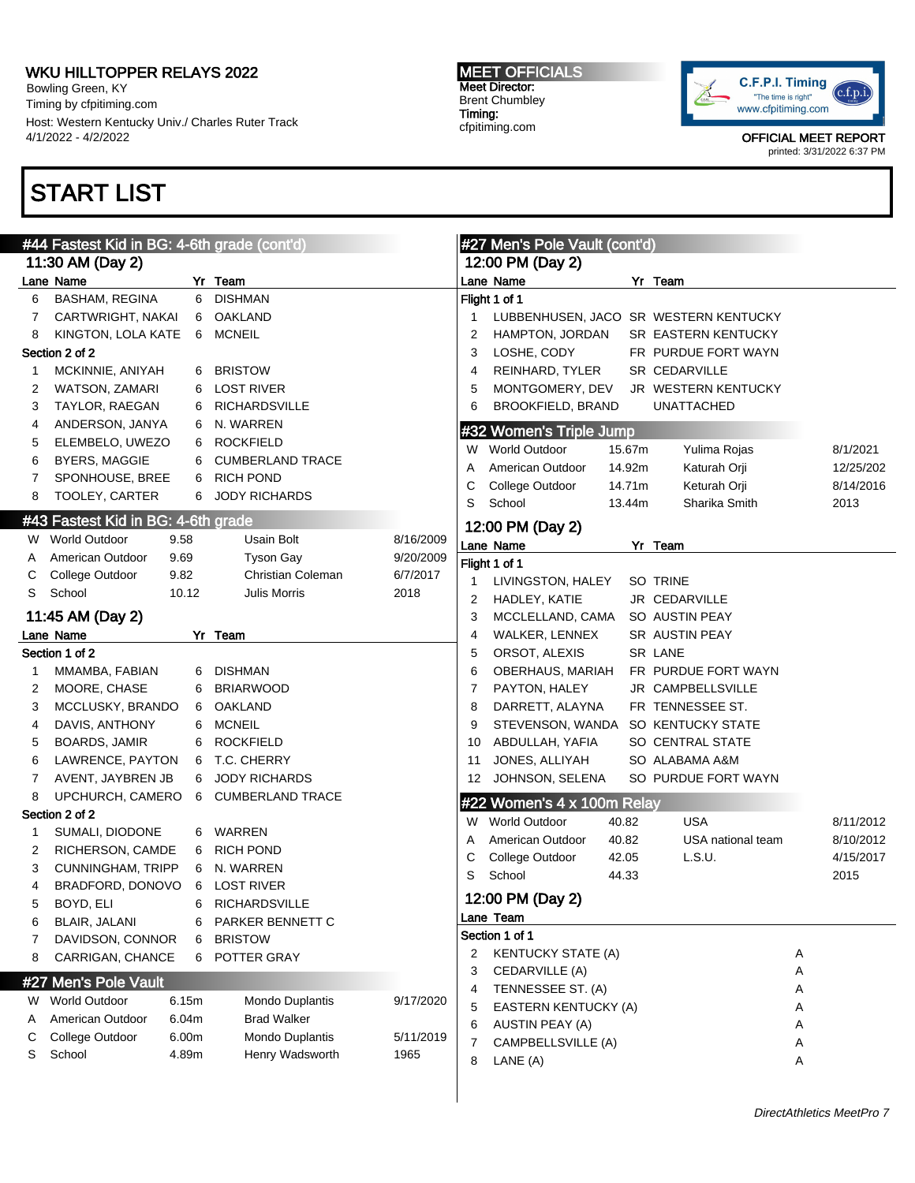Bowling Green, KY Timing by cfpitiming.com Host: Western Kentucky Univ./ Charles Ruter Track 4/1/2022 - 4/2/2022

# START LIST

#### #44 Fastest Kid in BG: 4-6th grade (cont'd) 11:30 AM (Day 2) Lane Name Yr Team 6 BASHAM, REGINA 6 DISHMAN 7 CARTWRIGHT, NAKAI 6 OAKLAND 8 KINGTON, LOLA KATE 6 MCNEIL Section 2 of 2 1 MCKINNIE, ANIYAH 6 BRISTOW 2 WATSON, ZAMARI 6 LOST RIVER 3 TAYLOR, RAEGAN 6 RICHARDSVILLE 4 ANDERSON, JANYA 6 N. WARREN 5 ELEMBELO, UWEZO 6 ROCKFIELD 6 BYERS, MAGGIE 6 CUMBERLAND TRACE 7 SPONHOUSE, BREE 6 RICH POND 8 TOOLEY, CARTER 6 JODY RICHARDS #43 Fastest Kid in BG: 4-6th grade W World Outdoor 9.58 Usain Bolt 8/16/2009 A American Outdoor 9.69 Tyson Gay 9/20/2009 C College Outdoor 9.82 Christian Coleman 6/7/2017 S School 10.12 Julis Morris 2018 11:45 AM (Day 2) Lane Name Yr Team Section 1 of 2 1 MMAMBA, FABIAN 6 DISHMAN 2 MOORE, CHASE 6 BRIARWOOD 3 MCCLUSKY, BRANDO 6 OAKLAND 4 DAVIS, ANTHONY 6 MCNEIL 5 BOARDS, JAMIR 6 ROCKFIELD 6 LAWRENCE, PAYTON 6 T.C. CHERRY 7 AVENT, JAYBREN JB 6 JODY RICHARDS 8 UPCHURCH, CAMERO 6 CUMBERLAND TRACE Section 2 of 2 1 SUMALI, DIODONE 6 WARREN 2 RICHERSON, CAMDE 6 RICH POND 3 CUNNINGHAM, TRIPP 6 N. WARREN 4 BRADFORD, DONOVO 6 LOST RIVER 5 BOYD, ELI 6 RICHARDSVILLE 6 BLAIR, JALANI 6 PARKER BENNETT C 7 DAVIDSON, CONNOR 6 BRISTOW 8 CARRIGAN, CHANCE 6 POTTER GRAY #27 Men's Pole Vault W World Outdoor 6.15m Mondo Duplantis 9/17/2020 A American Outdoor 6.04m Brad Walker C College Outdoor 6.00m Mondo Duplantis 5/11/2019 S School **4.89m** Henry Wadsworth 1965 #27 Men's Pole Vault (cont'd) 12:00 PM (Day 2) Lane Name Yr Team Flight 1 of 1 1 LUBBENHUSEN, JACO SR WESTERN KENTUCKY 2 HAMPTON, JORDAN SR EASTERN KENTUCKY 3 LOSHE, CODY FR PURDUE FORT WAYN 4 REINHARD, TYLER SR CEDARVILLE 5 MONTGOMERY, DEV JR WESTERN KENTUCKY 6 BROOKFIELD, BRAND UNATTACHED #32 Women's Triple Jump W World Outdoor 15.67m Yulima Rojas 8/1/2021 A American Outdoor 14.92m Katurah Orji 12/25/202 C College Outdoor 14.71m Keturah Orji 8/14/2016 S School 13.44m Sharika Smith 2013 12:00 PM (Day 2) Lane Name Yr Team Flight 1 of 1 1 LIVINGSTON, HALEY SO TRINE 2 HADLEY, KATIE JR CEDARVILLE 3 MCCLELLAND, CAMA SO AUSTIN PEAY 4 WALKER, LENNEX SR AUSTIN PEAY 5 ORSOT, ALEXIS SR LANE 6 OBERHAUS, MARIAH FR PURDUE FORT WAYN 7 PAYTON, HALEY JR CAMPBELLSVILLE 8 DARRETT, ALAYNA FR TENNESSEE ST. 9 STEVENSON, WANDA SO KENTUCKY STATE 10 ABDULLAH, YAFIA SO CENTRAL STATE 11 JONES, ALLIYAH SO ALABAMA A&M 12 JOHNSON, SELENA SO PURDUE FORT WAYN #22 Women's 4 x 100m Relay W World Outdoor 40.82 USA 8/11/2012 A American Outdoor 40.82 USA national team 8/10/2012 C College Outdoor 42.05 L.S.U. 4/15/2017 S School 44.33 2015 12:00 PM (Day 2) Lane Team Section 1 of 1 2 KENTUCKY STATE (A) A 3 CEDARVILLE (A) A 4 TENNESSEE ST. (A) A 5 EASTERN KENTUCKY (A) A 6 AUSTIN PEAY (A) A 7 CAMPBELLSVILLE (A) A 8 LANE (A) A

MEET OFFICIALS Meet Director: Brent Chumbley Timing: cfpitiming.com

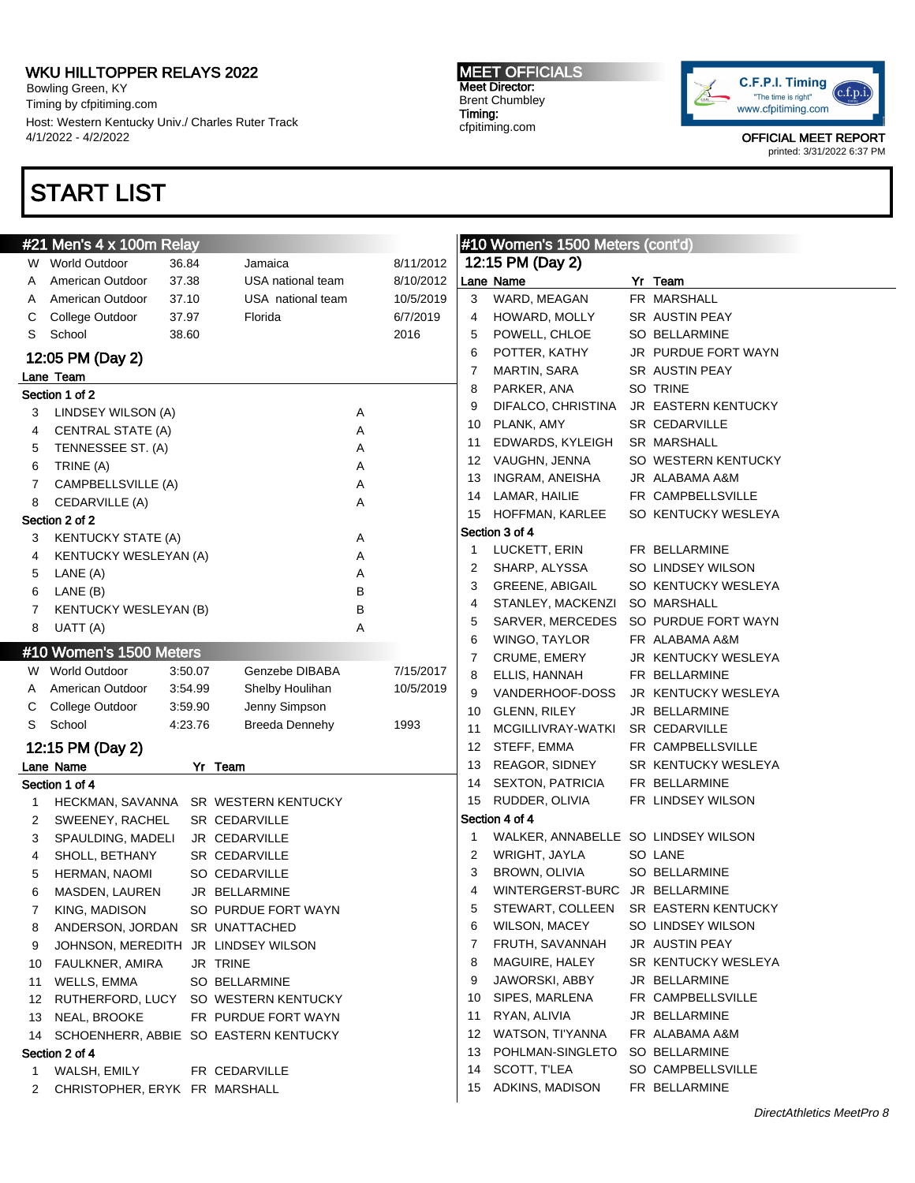Bowling Green, KY Timing by cfpitiming.com Host: Western Kentucky Univ./ Charles Ruter Track 4/1/2022 - 4/2/2022

# START LIST

#### MEET OFFICIALS Meet Director: Brent Chumbley Timing: cfpitiming.com



|    | #21 Men's 4 x 100m Relay            |         |                                       | #10 Women's 1500 Meters (cont'd) |           |    |                                     |  |                                      |
|----|-------------------------------------|---------|---------------------------------------|----------------------------------|-----------|----|-------------------------------------|--|--------------------------------------|
|    | W World Outdoor                     | 36.84   | Jamaica                               |                                  | 8/11/2012 |    | 12:15 PM (Day 2)                    |  |                                      |
| A  | American Outdoor                    | 37.38   | USA national team                     |                                  | 8/10/2012 |    | Lane Name                           |  | Yr Team                              |
| A  | American Outdoor                    | 37.10   | USA national team                     |                                  | 10/5/2019 | 3  | WARD, MEAGAN                        |  | FR MARSHALL                          |
| С  | College Outdoor                     | 37.97   | Florida                               |                                  | 6/7/2019  | 4  | HOWARD, MOLLY                       |  | SR AUSTIN PEAY                       |
| S  | School                              | 38.60   |                                       |                                  | 2016      | 5  | POWELL, CHLOE                       |  | <b>SO BELLARMINE</b>                 |
|    | 12:05 PM (Day 2)                    |         |                                       |                                  |           | 6  | POTTER, KATHY                       |  | JR PURDUE FORT WAYN                  |
|    | Lane Team                           |         |                                       |                                  |           | 7  | MARTIN, SARA                        |  | SR AUSTIN PEAY                       |
|    | Section 1 of 2                      |         |                                       |                                  |           | 8  | PARKER, ANA                         |  | SO TRINE                             |
| 3  | LINDSEY WILSON (A)                  |         |                                       | Α                                |           | 9  | DIFALCO, CHRISTINA                  |  | JR EASTERN KENTUCKY                  |
| 4  | <b>CENTRAL STATE (A)</b>            |         |                                       | Α                                |           | 10 | PLANK, AMY                          |  | <b>SR CEDARVILLE</b>                 |
| 5  | TENNESSEE ST. (A)                   |         |                                       | Α                                |           | 11 | EDWARDS, KYLEIGH                    |  | SR MARSHALL                          |
| 6  | TRINE (A)                           |         |                                       | Α                                |           | 12 | VAUGHN, JENNA                       |  | SO WESTERN KENTUCKY                  |
| 7  | CAMPBELLSVILLE (A)                  |         |                                       | Α                                |           | 13 | INGRAM, ANEISHA                     |  | JR ALABAMA A&M                       |
| 8  | CEDARVILLE (A)                      |         |                                       | Α                                |           | 14 | LAMAR, HAILIE                       |  | FR CAMPBELLSVILLE                    |
|    | Section 2 of 2                      |         |                                       |                                  |           | 15 | HOFFMAN, KARLEE                     |  | SO KENTUCKY WESLEYA                  |
| 3  | <b>KENTUCKY STATE (A)</b>           |         |                                       | Α                                |           |    | Section 3 of 4                      |  |                                      |
| 4  | <b>KENTUCKY WESLEYAN (A)</b>        |         |                                       | Α                                |           | 1  | LUCKETT, ERIN                       |  | FR BELLARMINE                        |
| 5  | LANE (A)                            |         |                                       | Α                                |           | 2  | SHARP, ALYSSA                       |  | SO LINDSEY WILSON                    |
| 6  | LANE (B)                            |         |                                       | B                                |           | 3  | <b>GREENE, ABIGAIL</b>              |  | SO KENTUCKY WESLEYA                  |
| 7  | <b>KENTUCKY WESLEYAN (B)</b>        |         |                                       | В                                |           | 4  | STANLEY, MACKENZI                   |  | SO MARSHALL                          |
| 8  | UATT (A)                            |         |                                       | Α                                |           | 5  | SARVER, MERCEDES                    |  | SO PURDUE FORT WAYN                  |
|    |                                     |         |                                       |                                  |           | 6  | WINGO, TAYLOR                       |  | FR ALABAMA A&M                       |
|    | #10 Women's 1500 Meters             |         |                                       |                                  |           | 7  | CRUME, EMERY                        |  | JR KENTUCKY WESLEYA                  |
|    | W World Outdoor                     | 3:50.07 | Genzebe DIBABA                        |                                  | 7/15/2017 | 8  | ELLIS, HANNAH                       |  | FR BELLARMINE                        |
| A  | American Outdoor                    | 3:54.99 | Shelby Houlihan                       |                                  | 10/5/2019 | 9  | VANDERHOOF-DOSS                     |  | JR KENTUCKY WESLEYA                  |
| С  | College Outdoor                     | 3:59.90 | Jenny Simpson                         |                                  |           | 10 | GLENN, RILEY                        |  | JR BELLARMINE                        |
| S  | School                              | 4:23.76 | <b>Breeda Dennehy</b>                 |                                  | 1993      | 11 | MCGILLIVRAY-WATKI                   |  | SR CEDARVILLE                        |
|    | 12:15 PM (Day 2)                    |         |                                       |                                  |           | 12 | STEFF, EMMA                         |  | FR CAMPBELLSVILLE                    |
|    | Lane Name                           |         | Yr Team                               |                                  |           | 13 | REAGOR, SIDNEY                      |  | SR KENTUCKY WESLEYA                  |
|    | Section 1 of 4                      |         |                                       |                                  |           | 14 | <b>SEXTON, PATRICIA</b>             |  | FR BELLARMINE                        |
| 1  |                                     |         | HECKMAN, SAVANNA SR WESTERN KENTUCKY  |                                  |           | 15 | RUDDER, OLIVIA                      |  | FR LINDSEY WILSON                    |
| 2  | SWEENEY, RACHEL                     |         | SR CEDARVILLE                         |                                  |           |    | Section 4 of 4                      |  |                                      |
| 3  | SPAULDING, MADELI                   |         | JR CEDARVILLE                         |                                  |           | 1  | WALKER, ANNABELLE SO LINDSEY WILSON |  |                                      |
| 4  | SHOLL, BETHANY                      |         | SR CEDARVILLE                         |                                  |           | 2  | WRIGHT, JAYLA                       |  | SO LANE                              |
| 5  | HERMAN, NAOMI                       |         | SO CEDARVILLE                         |                                  |           | 3  | BROWN, OLIVIA                       |  | <b>SO BELLARMINE</b>                 |
| 6  | MASDEN, LAUREN                      |         | JR BELLARMINE                         |                                  |           | 4  | WINTERGERST-BURC JR BELLARMINE      |  |                                      |
|    | KING, MADISON                       |         | SO PURDUE FORT WAYN                   |                                  |           | 5  |                                     |  | STEWART, COLLEEN SR EASTERN KENTUCKY |
| 8  | ANDERSON, JORDAN SR UNATTACHED      |         |                                       |                                  |           | 6  | <b>WILSON, MACEY</b>                |  | SO LINDSEY WILSON                    |
| 9  | JOHNSON, MEREDITH JR LINDSEY WILSON |         |                                       |                                  |           | 7  | FRUTH, SAVANNAH                     |  | <b>JR AUSTIN PEAY</b>                |
| 10 | <b>FAULKNER, AMIRA</b>              |         | JR TRINE                              |                                  |           | 8  | MAGUIRE, HALEY                      |  | SR KENTUCKY WESLEYA                  |
| 11 | WELLS, EMMA                         |         | SO BELLARMINE                         |                                  |           | 9  | JAWORSKI, ABBY                      |  | JR BELLARMINE                        |
| 12 |                                     |         | RUTHERFORD, LUCY SO WESTERN KENTUCKY  |                                  |           | 10 | SIPES, MARLENA                      |  | FR CAMPBELLSVILLE                    |
| 13 | NEAL, BROOKE                        |         | FR PURDUE FORT WAYN                   |                                  |           | 11 | RYAN, ALIVIA                        |  | JR BELLARMINE                        |
| 14 |                                     |         | SCHOENHERR, ABBIE SO EASTERN KENTUCKY |                                  |           | 12 | WATSON, TI'YANNA                    |  | FR ALABAMA A&M                       |
|    | Section 2 of 4                      |         |                                       |                                  |           | 13 | POHLMAN-SINGLETO                    |  | <b>SO BELLARMINE</b>                 |
| 1  | WALSH, EMILY                        |         | FR CEDARVILLE                         |                                  |           | 14 | SCOTT, T'LEA                        |  | SO CAMPBELLSVILLE                    |
| 2  | CHRISTOPHER, ERYK FR MARSHALL       |         |                                       |                                  |           | 15 | ADKINS, MADISON                     |  | FR BELLARMINE                        |
|    |                                     |         |                                       |                                  |           |    |                                     |  |                                      |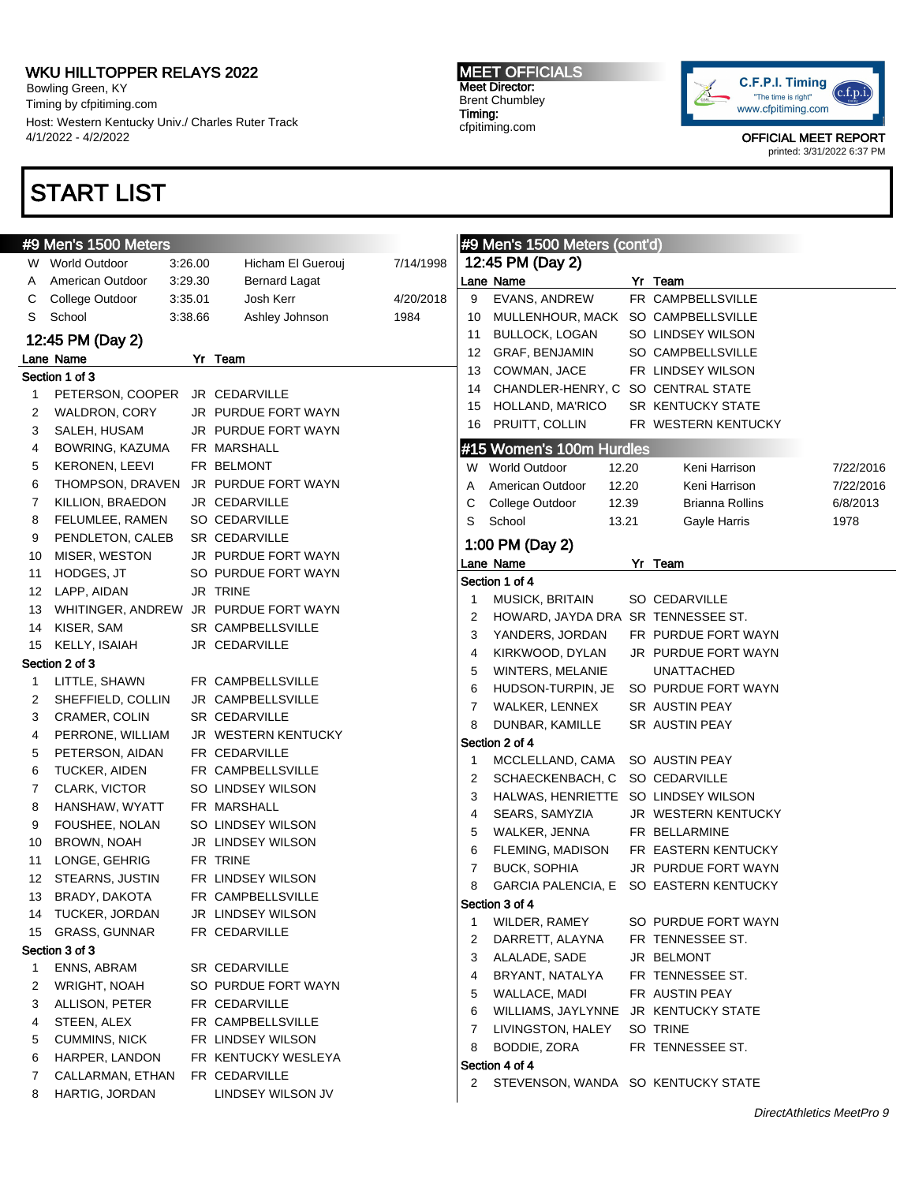Bowling Green, KY Timing by cfpitiming.com Host: Western Kentucky Univ./ Charles Ruter Track 4/1/2022 - 4/2/2022

# START LIST

#### MEET OFFICIALS Meet Director: Brent Chumbley Timing: cfpitiming.com



|    | #9 Men's 1500 Meters  |         |                                       |           |                | #9 Men's 1500 Meters (cont'd)        |       |                        |           |
|----|-----------------------|---------|---------------------------------------|-----------|----------------|--------------------------------------|-------|------------------------|-----------|
|    | W World Outdoor       | 3:26.00 | Hicham El Guerouj                     | 7/14/1998 |                | 12:45 PM (Day 2)                     |       |                        |           |
| A  | American Outdoor      | 3:29.30 | <b>Bernard Lagat</b>                  |           |                | Lane Name                            |       | Yr Team                |           |
| C  | College Outdoor       | 3:35.01 | Josh Kerr                             | 4/20/2018 | 9              | EVANS, ANDREW                        |       | FR CAMPBELLSVILLE      |           |
| S  | School                | 3:38.66 | Ashley Johnson                        | 1984      | 10             | MULLENHOUR, MACK                     |       | SO CAMPBELLSVILLE      |           |
|    | 12:45 PM (Day 2)      |         |                                       |           | 11             | <b>BULLOCK, LOGAN</b>                |       | SO LINDSEY WILSON      |           |
|    | Lane Name             |         | Yr Team                               |           | 12             | <b>GRAF, BENJAMIN</b>                |       | SO CAMPBELLSVILLE      |           |
|    | Section 1 of 3        |         |                                       |           | 13             | COWMAN, JACE                         |       | FR LINDSEY WILSON      |           |
| 1  | PETERSON, COOPER      |         | JR CEDARVILLE                         |           | 14             | CHANDLER-HENRY, C SO CENTRAL STATE   |       |                        |           |
|    | WALDRON, CORY         |         | JR PURDUE FORT WAYN                   |           | 15             | HOLLAND, MA'RICO                     |       | SR KENTUCKY STATE      |           |
| 2  |                       |         |                                       |           | 16             | PRUITT, COLLIN                       |       | FR WESTERN KENTUCKY    |           |
| 3  | SALEH, HUSAM          |         | JR PURDUE FORT WAYN                   |           |                |                                      |       |                        |           |
| 4  | BOWRING, KAZUMA       |         | FR MARSHALL                           |           |                | #15 Women's 100m Hurdles             |       |                        |           |
| 5  | <b>KERONEN, LEEVI</b> |         | FR BELMONT                            |           |                | W World Outdoor                      | 12.20 | Keni Harrison          | 7/22/2016 |
| 6  | THOMPSON, DRAVEN      |         | JR PURDUE FORT WAYN                   |           | Α              | American Outdoor                     | 12.20 | Keni Harrison          | 7/22/2016 |
| 7  | KILLION, BRAEDON      |         | JR CEDARVILLE                         |           | С              | College Outdoor                      | 12.39 | <b>Brianna Rollins</b> | 6/8/2013  |
| 8  | FELUMLEE, RAMEN       |         | SO CEDARVILLE                         |           | S              | School                               | 13.21 | Gayle Harris           | 1978      |
| 9  | PENDLETON, CALEB      |         | SR CEDARVILLE                         |           |                | 1:00 PM (Day 2)                      |       |                        |           |
| 10 | MISER, WESTON         |         | JR PURDUE FORT WAYN                   |           |                | Lane Name                            |       | Yr Team                |           |
| 11 | HODGES, JT            |         | SO PURDUE FORT WAYN                   |           |                | Section 1 of 4                       |       |                        |           |
| 12 | LAPP, AIDAN           |         | JR TRINE                              |           | 1              | MUSICK, BRITAIN                      |       | SO CEDARVILLE          |           |
| 13 |                       |         | WHITINGER, ANDREW JR PURDUE FORT WAYN |           | 2              | HOWARD, JAYDA DRA SR TENNESSEE ST.   |       |                        |           |
| 14 | KISER, SAM            |         | SR CAMPBELLSVILLE                     |           | 3              | YANDERS, JORDAN                      |       | FR PURDUE FORT WAYN    |           |
| 15 | KELLY, ISAIAH         |         | JR CEDARVILLE                         |           | $\overline{4}$ | KIRKWOOD, DYLAN                      |       | JR PURDUE FORT WAYN    |           |
|    | Section 2 of 3        |         |                                       |           | 5              | WINTERS, MELANIE                     |       | <b>UNATTACHED</b>      |           |
| 1  | LITTLE, SHAWN         |         | FR CAMPBELLSVILLE                     |           | 6              | HUDSON-TURPIN, JE                    |       | SO PURDUE FORT WAYN    |           |
| 2  | SHEFFIELD, COLLIN     |         | JR CAMPBELLSVILLE                     |           | 7              | WALKER, LENNEX                       |       | SR AUSTIN PEAY         |           |
| 3  | CRAMER, COLIN         |         | SR CEDARVILLE                         |           | 8              | DUNBAR, KAMILLE                      |       | SR AUSTIN PEAY         |           |
| 4  | PERRONE, WILLIAM      |         | JR WESTERN KENTUCKY                   |           |                | Section 2 of 4                       |       |                        |           |
| 5  | PETERSON, AIDAN       |         | FR CEDARVILLE                         |           | -1             | MCCLELLAND, CAMA                     |       | SO AUSTIN PEAY         |           |
| 6  | TUCKER, AIDEN         |         | FR CAMPBELLSVILLE                     |           | 2              | SCHAECKENBACH, C                     |       | SO CEDARVILLE          |           |
| 7  | CLARK, VICTOR         |         | SO LINDSEY WILSON                     |           | 3              | HALWAS, HENRIETTE                    |       | SO LINDSEY WILSON      |           |
| 8  | HANSHAW, WYATT        |         | FR MARSHALL                           |           | 4              | SEARS, SAMYZIA                       |       | JR WESTERN KENTUCKY    |           |
| 9  | FOUSHEE, NOLAN        |         | SO LINDSEY WILSON                     |           |                | WALKER, JENNA                        |       | FR BELLARMINE          |           |
| 10 | <b>BROWN, NOAH</b>    |         | JR LINDSEY WILSON                     |           | 5              |                                      |       | FR EASTERN KENTUCKY    |           |
| 11 | LONGE, GEHRIG         |         | FR TRINE                              |           | 6              | FLEMING, MADISON                     |       | JR PURDUE FORT WAYN    |           |
| 12 | STEARNS, JUSTIN       |         | FR LINDSEY WILSON                     |           | 7              | <b>BUCK, SOPHIA</b>                  |       |                        |           |
| 13 | BRADY, DAKOTA         |         | FR CAMPBELLSVILLE                     |           | 8              | <b>GARCIA PALENCIA, E</b>            |       | SO EASTERN KENTUCKY    |           |
|    | 14 TUCKER, JORDAN     |         | JR LINDSEY WILSON                     |           |                | Section 3 of 4                       |       |                        |           |
|    | 15 GRASS, GUNNAR      |         | FR CEDARVILLE                         |           | 1              | WILDER, RAMEY                        |       | SO PURDUE FORT WAYN    |           |
|    | Section 3 of 3        |         |                                       |           | 2              | DARRETT, ALAYNA                      |       | FR TENNESSEE ST.       |           |
| 1  | ENNS, ABRAM           |         | SR CEDARVILLE                         |           | 3              | ALALADE, SADE                        |       | JR BELMONT             |           |
| 2  | WRIGHT, NOAH          |         | SO PURDUE FORT WAYN                   |           | 4              | BRYANT, NATALYA                      |       | FR TENNESSEE ST.       |           |
| 3  | ALLISON, PETER        |         | FR CEDARVILLE                         |           | 5              | WALLACE, MADI                        |       | FR AUSTIN PEAY         |           |
| 4  | STEEN, ALEX           |         | FR CAMPBELLSVILLE                     |           | 6              | WILLIAMS, JAYLYNNE                   |       | JR KENTUCKY STATE      |           |
| 5  | <b>CUMMINS, NICK</b>  |         | FR LINDSEY WILSON                     |           | 7              | LIVINGSTON, HALEY                    |       | SO TRINE               |           |
|    | HARPER, LANDON        |         | FR KENTUCKY WESLEYA                   |           | 8              | BODDIE, ZORA                         |       | FR TENNESSEE ST.       |           |
| 6  |                       |         | FR CEDARVILLE                         |           |                | Section 4 of 4                       |       |                        |           |
| 7  | CALLARMAN, ETHAN      |         |                                       |           |                | 2 STEVENSON, WANDA SO KENTUCKY STATE |       |                        |           |
| 8  | HARTIG, JORDAN        |         | LINDSEY WILSON JV                     |           |                |                                      |       |                        |           |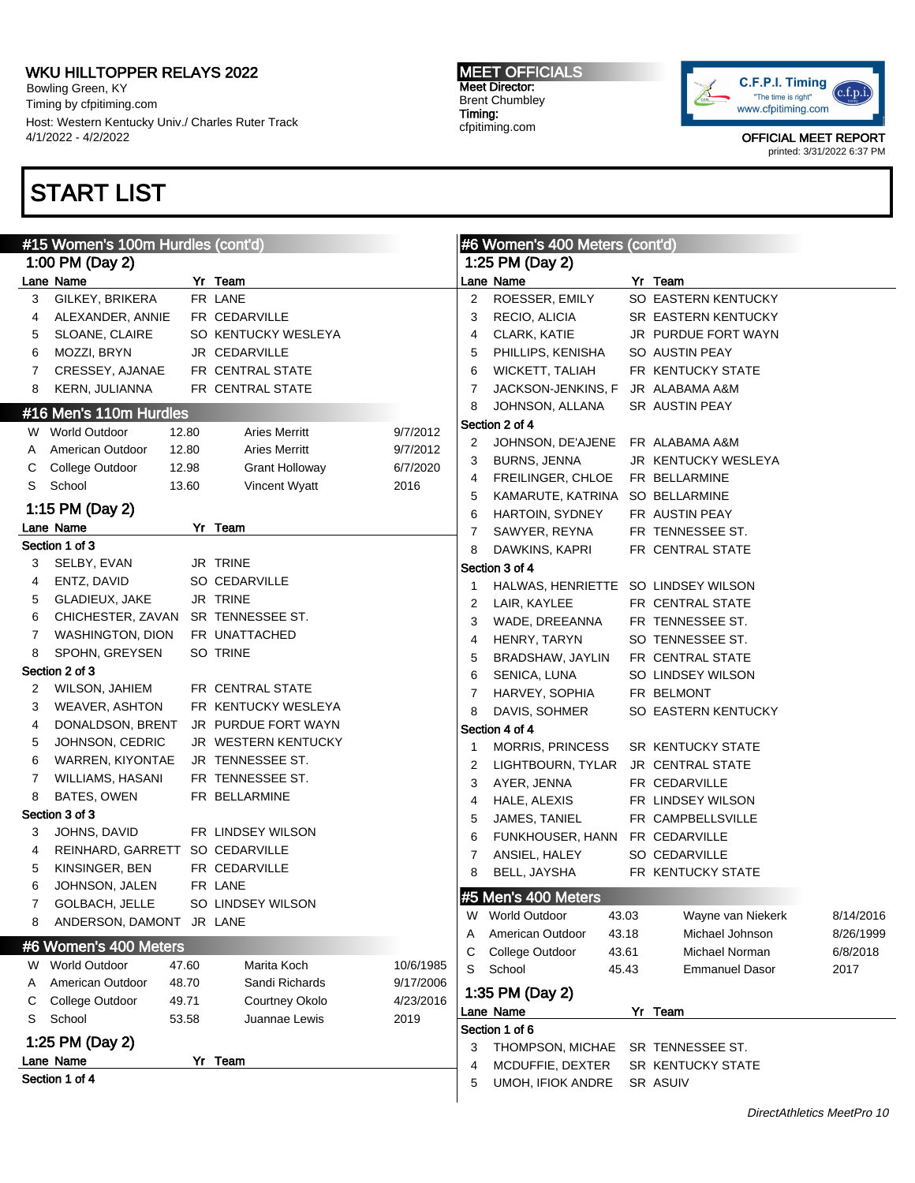Bowling Green, KY Timing by cfpitiming.com Host: Western Kentucky Univ./ Charles Ruter Track 4/1/2022 - 4/2/2022

# START LIST

#### MEET OFFICIALS Meet Director: Brent Chumbley Timing: cfpitiming.com



|   | #15 Women's 100m Hurdles (cont'd)  |       |                       |           | #6 Women's 400 Meters (cont'd)<br>1:25 PM (Day 2) |                                     |  |                                      |           |
|---|------------------------------------|-------|-----------------------|-----------|---------------------------------------------------|-------------------------------------|--|--------------------------------------|-----------|
|   | 1:00 PM (Day 2)                    |       |                       |           |                                                   |                                     |  |                                      |           |
|   | Lane Name                          |       | Yr Team               |           |                                                   | Lane Name                           |  | Yr Team                              |           |
| 3 | GILKEY, BRIKERA                    |       | FR LANE               |           | 2                                                 | ROESSER, EMILY                      |  | SO EASTERN KENTUCKY                  |           |
| 4 | ALEXANDER, ANNIE                   |       | FR CEDARVILLE         |           | 3                                                 | RECIO, ALICIA                       |  | SR EASTERN KENTUCKY                  |           |
| 5 | SLOANE, CLAIRE                     |       | SO KENTUCKY WESLEYA   |           | 4                                                 | CLARK, KATIE                        |  | JR PURDUE FORT WAYN                  |           |
| 6 | MOZZI, BRYN                        |       | JR CEDARVILLE         |           | 5                                                 | PHILLIPS, KENISHA                   |  | SO AUSTIN PEAY                       |           |
| 7 | CRESSEY, AJANAE                    |       | FR CENTRAL STATE      |           | 6                                                 | WICKETT, TALIAH                     |  | FR KENTUCKY STATE                    |           |
| 8 | KERN, JULIANNA                     |       | FR CENTRAL STATE      |           | 7                                                 | JACKSON-JENKINS, F                  |  | JR ALABAMA A&M                       |           |
|   | #16 Men's 110m Hurdles             |       |                       |           | 8                                                 | JOHNSON, ALLANA                     |  | SR AUSTIN PEAY                       |           |
|   | W World Outdoor                    | 12.80 | <b>Aries Merritt</b>  | 9/7/2012  |                                                   | Section 2 of 4                      |  |                                      |           |
| A | American Outdoor                   | 12.80 | <b>Aries Merritt</b>  | 9/7/2012  | 2                                                 | JOHNSON, DE'AJENE                   |  | FR ALABAMA A&M                       |           |
| C | College Outdoor                    | 12.98 | <b>Grant Holloway</b> | 6/7/2020  | 3                                                 | <b>BURNS, JENNA</b>                 |  | JR KENTUCKY WESLEYA                  |           |
| S | School                             | 13.60 | Vincent Wyatt         | 2016      | 4                                                 | FREILINGER, CHLOE                   |  | FR BELLARMINE                        |           |
|   | 1:15 PM (Day 2)                    |       |                       |           | 5                                                 | KAMARUTE, KATRINA                   |  | SO BELLARMINE                        |           |
|   | Lane Name                          |       | Yr Team               |           | 6                                                 | HARTOIN, SYDNEY                     |  | FR AUSTIN PEAY                       |           |
|   | Section 1 of 3                     |       |                       |           | 7                                                 | SAWYER, REYNA                       |  | FR TENNESSEE ST.                     |           |
| 3 | SELBY, EVAN                        |       | JR TRINE              |           | 8                                                 | DAWKINS, KAPRI                      |  | FR CENTRAL STATE                     |           |
| 4 | ENTZ, DAVID                        |       | <b>SO CEDARVILLE</b>  |           |                                                   | Section 3 of 4                      |  |                                      |           |
| 5 | GLADIEUX, JAKE                     |       | JR TRINE              |           | $\mathbf 1$                                       | HALWAS, HENRIETTE SO LINDSEY WILSON |  |                                      |           |
| 6 | CHICHESTER, ZAVAN SR TENNESSEE ST. |       |                       |           | 2                                                 | LAIR, KAYLEE                        |  | FR CENTRAL STATE                     |           |
| 7 | WASHINGTON, DION                   |       | FR UNATTACHED         |           | 3                                                 | WADE, DREEANNA                      |  | FR TENNESSEE ST.                     |           |
| 8 | SPOHN, GREYSEN                     |       | SO TRINE              |           | 4                                                 | HENRY, TARYN<br>BRADSHAW, JAYLIN    |  | SO TENNESSEE ST.<br>FR CENTRAL STATE |           |
|   | Section 2 of 3                     |       |                       |           | 5<br>6                                            | SENICA, LUNA                        |  | SO LINDSEY WILSON                    |           |
| 2 | WILSON, JAHIEM                     |       | FR CENTRAL STATE      |           | 7                                                 | HARVEY, SOPHIA                      |  | FR BELMONT                           |           |
| 3 | WEAVER, ASHTON                     |       | FR KENTUCKY WESLEYA   |           | 8                                                 | DAVIS, SOHMER                       |  | SO EASTERN KENTUCKY                  |           |
| 4 | DONALDSON, BRENT                   |       | JR PURDUE FORT WAYN   |           |                                                   | Section 4 of 4                      |  |                                      |           |
| 5 | JOHNSON, CEDRIC                    |       | JR WESTERN KENTUCKY   |           | $\mathbf 1$                                       | <b>MORRIS, PRINCESS</b>             |  | SR KENTUCKY STATE                    |           |
| 6 | WARREN, KIYONTAE                   |       | JR TENNESSEE ST.      |           | 2                                                 | LIGHTBOURN, TYLAR                   |  | JR CENTRAL STATE                     |           |
| 7 | WILLIAMS, HASANI                   |       | FR TENNESSEE ST.      |           | 3                                                 | AYER, JENNA                         |  | FR CEDARVILLE                        |           |
| 8 | BATES, OWEN                        |       | FR BELLARMINE         |           | 4                                                 | HALE, ALEXIS                        |  | FR LINDSEY WILSON                    |           |
|   | Section 3 of 3                     |       |                       |           | 5                                                 | JAMES, TANIEL                       |  | FR CAMPBELLSVILLE                    |           |
| 3 | JOHNS, DAVID                       |       | FR LINDSEY WILSON     |           | 6                                                 | FUNKHOUSER, HANN                    |  | FR CEDARVILLE                        |           |
| 4 | REINHARD, GARRETT SO CEDARVILLE    |       |                       |           | 7                                                 | ANSIEL, HALEY                       |  | SO CEDARVILLE                        |           |
| 5 | KINSINGER, BEN                     |       | FR CEDARVILLE         |           | 8                                                 | BELL, JAYSHA                        |  | FR KENTUCKY STATE                    |           |
| 6 | JOHNSON, JALEN                     |       | FR LANE               |           |                                                   |                                     |  |                                      |           |
| 7 | GOLBACH, JELLE                     |       | SO LINDSEY WILSON     |           |                                                   | #5 Men's 400 Meters                 |  |                                      |           |
| 8 | ANDERSON, DAMONT JR LANE           |       |                       |           | W                                                 | <b>World Outdoor</b><br>43.03       |  | Wayne van Niekerk                    | 8/14/2016 |
|   | #6 Women's 400 Meters              |       |                       |           | Α                                                 | American Outdoor<br>43.18           |  | Michael Johnson                      | 8/26/1999 |
|   | W World Outdoor                    | 47.60 | Marita Koch           | 10/6/1985 | С                                                 | College Outdoor<br>43.61            |  | Michael Norman                       | 6/8/2018  |
| A | American Outdoor                   | 48.70 | Sandi Richards        | 9/17/2006 | S                                                 | School<br>45.43                     |  | <b>Emmanuel Dasor</b>                | 2017      |
| С | College Outdoor                    | 49.71 | Courtney Okolo        | 4/23/2016 |                                                   | 1:35 PM (Day 2)                     |  |                                      |           |
| S | School                             | 53.58 | Juannae Lewis         | 2019      |                                                   | Lane Name                           |  | Yr Team                              |           |
|   |                                    |       |                       |           |                                                   | Section 1 of 6                      |  |                                      |           |
|   | 1:25 PM (Day 2)                    |       |                       |           | 3                                                 | THOMPSON, MICHAE                    |  | SR TENNESSEE ST.                     |           |
|   | Lane Name<br>Section 1 of 4        |       | Yr Team               |           | 4                                                 | MCDUFFIE, DEXTER                    |  | SR KENTUCKY STATE                    |           |
|   |                                    |       |                       |           | 5                                                 | UMOH, IFIOK ANDRE                   |  | SR ASUIV                             |           |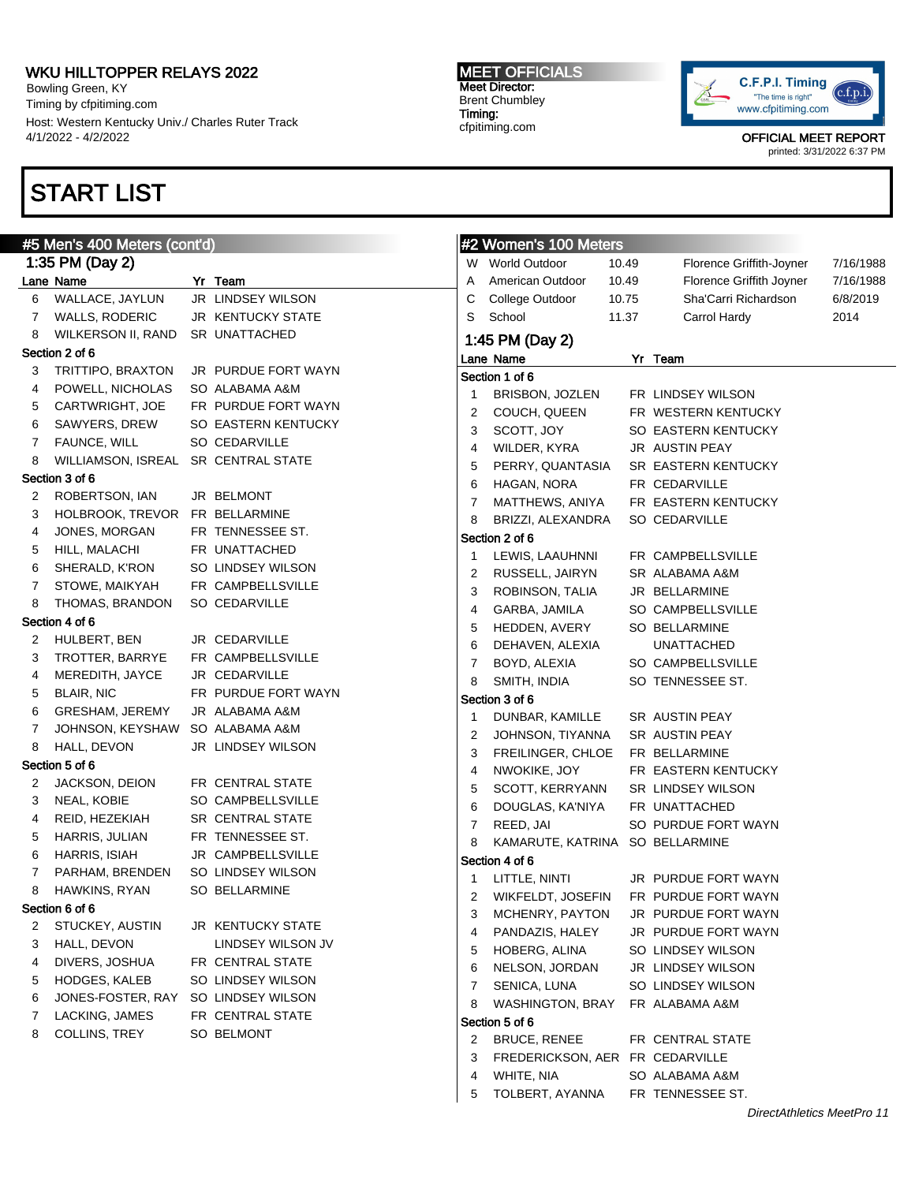Bowling Green, KY Timing by cfpitiming.com Host: Western Kentucky Univ./ Charles Ruter Track 4/1/2022 - 4/2/2022

# START LIST

#### #5 Men's 400 Meters (cont'd) 1:35 PM (Day 2) Lane Name Yr Team WALLACE, JAYLUN JR LINDSEY WILSON WALLS, RODERIC JR KENTUCKY STATE WILKERSON II, RAND SR UNATTACHED Section 2 of 6 TRITTIPO, BRAXTON JR PURDUE FORT WAYN POWELL, NICHOLAS SO ALABAMA A&M CARTWRIGHT, JOE FR PURDUE FORT WAYN SAWYERS, DREW SO EASTERN KENTUCKY FAUNCE, WILL SO CEDARVILLE WILLIAMSON, ISREAL SR CENTRAL STATE Section 3 of 6 ROBERTSON, IAN JR BELMONT HOLBROOK, TREVOR FR BELLARMINE JONES, MORGAN FR TENNESSEE ST. HILL, MALACHI FR UNATTACHED SHERALD, K'RON SO LINDSEY WILSON STOWE, MAIKYAH FR CAMPBELLSVILLE THOMAS, BRANDON SO CEDARVILLE Section 4 of 6 HULBERT, BEN JR CEDARVILLE TROTTER, BARRYE FR CAMPBELLSVILLE MEREDITH, JAYCE JR CEDARVILLE 5 BLAIR, NIC FR PURDUE FORT WAYN GRESHAM, JEREMY JR ALABAMA A&M JOHNSON, KEYSHAW SO ALABAMA A&M 8 HALL, DEVON JR LINDSEY WILSON Section 5 of 6 JACKSON, DEION FR CENTRAL STATE NEAL, KOBIE SO CAMPBELLSVILLE REID, HEZEKIAH SR CENTRAL STATE HARRIS, JULIAN FR TENNESSEE ST. HARRIS, ISIAH JR CAMPBELLSVILLE PARHAM, BRENDEN SO LINDSEY WILSON HAWKINS, RYAN SO BELLARMINE Section 6 of 6 STUCKEY, AUSTIN JR KENTUCKY STATE 3 HALL, DEVON LINDSEY WILSON JV DIVERS, JOSHUA FR CENTRAL STATE HODGES, KALEB SO LINDSEY WILSON JONES-FOSTER, RAY SO LINDSEY WILSON LACKING, JAMES FR CENTRAL STATE COLLINS, TREY SO BELMONT #2 Women's 100 Meters W World Outdoor 10.49 Florence Griffith-Joyner 7/16/1988 A American Outdoor 10.49 Florence Griffith Joyner 7/16/1988 C College Outdoor 10.75 Sha'Carri Richardson 6/8/2019 S School 11.37 Carrol Hardy 2014 1:45 PM (Day 2) Lane Name Yr Team Section 1 of 6 BRISBON, JOZLEN FR LINDSEY WILSON COUCH, QUEEN FR WESTERN KENTUCKY 3 SCOTT, JOY SO EASTERN KENTUCKY WILDER, KYRA JR AUSTIN PEAY PERRY, QUANTASIA SR EASTERN KENTUCKY HAGAN, NORA FR CEDARVILLE MATTHEWS, ANIYA FR EASTERN KENTUCKY BRIZZI, ALEXANDRA SO CEDARVILLE Section 2 of 6 LEWIS, LAAUHNNI FR CAMPBELLSVILLE RUSSELL, JAIRYN SR ALABAMA A&M ROBINSON, TALIA JR BELLARMINE GARBA, JAMILA SO CAMPBELLSVILLE HEDDEN, AVERY SO BELLARMINE DEHAVEN, ALEXIA UNATTACHED BOYD, ALEXIA SO CAMPBELLSVILLE 8 SMITH, INDIA SO TENNESSEE ST. Section 3 of 6 DUNBAR, KAMILLE SR AUSTIN PEAY JOHNSON, TIYANNA SR AUSTIN PEAY FREILINGER, CHLOE FR BELLARMINE NWOKIKE, JOY FR EASTERN KENTUCKY SCOTT, KERRYANN SR LINDSEY WILSON DOUGLAS, KA'NIYA FR UNATTACHED REED, JAI SO PURDUE FORT WAYN KAMARUTE, KATRINA SO BELLARMINE Section 4 of 6 LITTLE, NINTI JR PURDUE FORT WAYN WIKFELDT, JOSEFIN FR PURDUE FORT WAYN MCHENRY, PAYTON JR PURDUE FORT WAYN PANDAZIS, HALEY JR PURDUE FORT WAYN HOBERG, ALINA SO LINDSEY WILSON NELSON, JORDAN JR LINDSEY WILSON SENICA, LUNA SO LINDSEY WILSON WASHINGTON, BRAY FR ALABAMA A&M Section 5 of 6 2 BRUCE, RENEE FR CENTRAL STATE FREDERICKSON, AER FR CEDARVILLE

MEET OFFICIALS Meet Director: Brent Chumbley Timing: cfpitiming.com



OFFICIAL MEET REPORT printed: 3/31/2022 6:37 PM

 WHITE, NIA SO ALABAMA A&M TOLBERT, AYANNA FR TENNESSEE ST.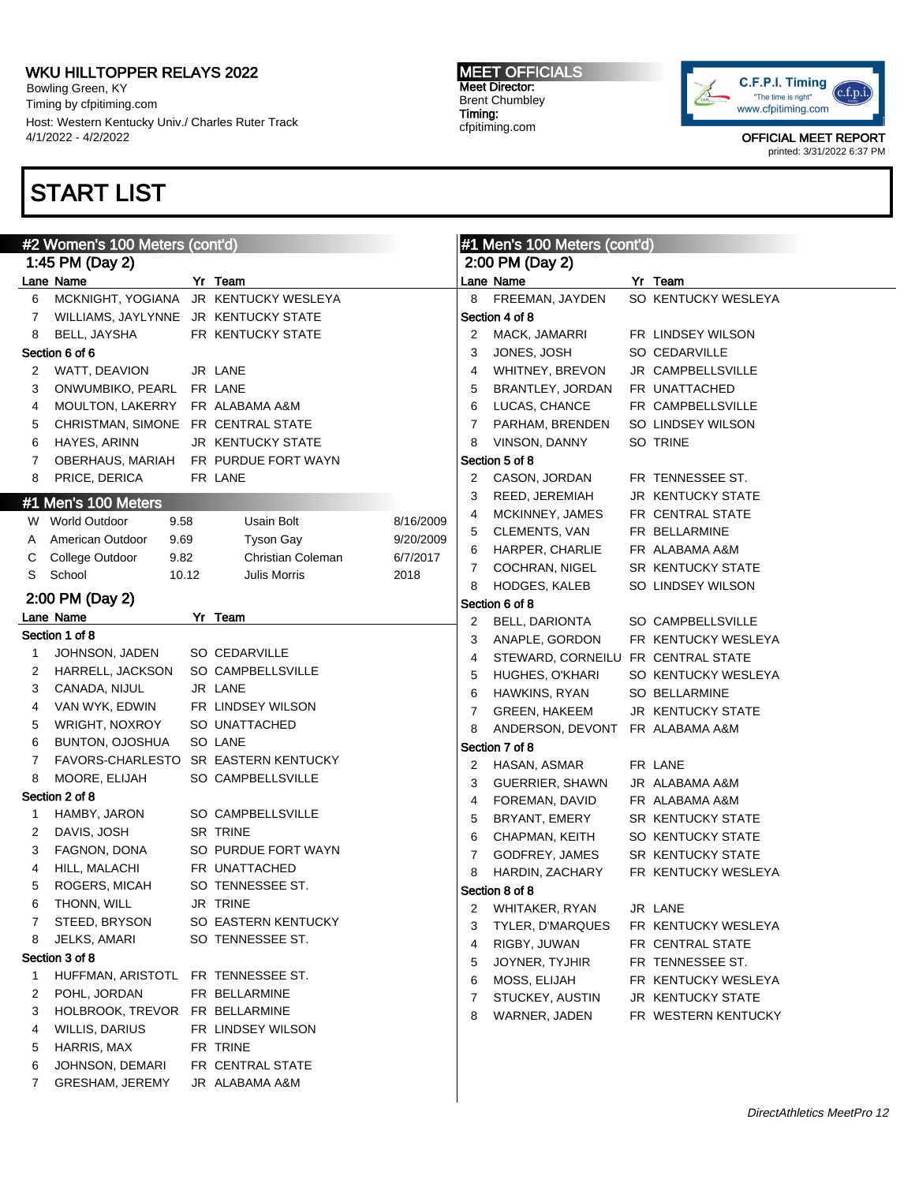Bowling Green, KY Timing by cfpitiming.com Host: Western Kentucky Univ./ Charles Ruter Track 4/1/2022 - 4/2/2022

# START LIST

### MEET OFFICIALS Meet Director: Brent Chumbley Timing: cfpitiming.com



|   | #2 Women's 100 Meters (cont'd)        |  |                     |           |   | #1 Men's 100 Meters (cont'd)       |  |                          |  |  |
|---|---------------------------------------|--|---------------------|-----------|---|------------------------------------|--|--------------------------|--|--|
|   | 1:45 PM (Day 2)                       |  |                     |           |   | 2:00 PM (Day 2)                    |  |                          |  |  |
|   | Lane Name                             |  | Yr Team             |           |   | Lane Name                          |  | Yr Team                  |  |  |
| 6 | MCKNIGHT, YOGIANA JR KENTUCKY WESLEYA |  |                     |           | 8 | FREEMAN, JAYDEN                    |  | SO KENTUCKY WESLEYA      |  |  |
| 7 | WILLIAMS, JAYLYNNE JR KENTUCKY STATE  |  |                     |           |   | Section 4 of 8                     |  |                          |  |  |
| 8 | BELL, JAYSHA                          |  | FR KENTUCKY STATE   |           | 2 | MACK, JAMARRI                      |  | FR LINDSEY WILSON        |  |  |
|   | Section 6 of 6                        |  |                     |           | 3 | JONES, JOSH                        |  | SO CEDARVILLE            |  |  |
| 2 | WATT, DEAVION                         |  | JR LANE             |           | 4 | WHITNEY, BREVON                    |  | JR CAMPBELLSVILLE        |  |  |
| 3 | ONWUMBIKO, PEARL FR LANE              |  |                     |           | 5 | BRANTLEY, JORDAN                   |  | FR UNATTACHED            |  |  |
| 4 | MOULTON, LAKERRY FR ALABAMA A&M       |  |                     |           | 6 | LUCAS, CHANCE                      |  | FR CAMPBELLSVILLE        |  |  |
| 5 | CHRISTMAN, SIMONE FR CENTRAL STATE    |  |                     |           | 7 | PARHAM, BRENDEN                    |  | SO LINDSEY WILSON        |  |  |
| 6 | HAYES, ARINN                          |  | JR KENTUCKY STATE   |           | 8 | VINSON, DANNY                      |  | SO TRINE                 |  |  |
| 7 | OBERHAUS, MARIAH FR PURDUE FORT WAYN  |  |                     |           |   | Section 5 of 8                     |  |                          |  |  |
| 8 | PRICE, DERICA                         |  | FR LANE             |           | 2 | CASON, JORDAN                      |  | FR TENNESSEE ST.         |  |  |
|   | #1 Men's 100 Meters                   |  |                     |           | 3 | REED, JEREMIAH                     |  | <b>JR KENTUCKY STATE</b> |  |  |
|   | W World Outdoor<br>9.58               |  | Usain Bolt          | 8/16/2009 | 4 | MCKINNEY, JAMES                    |  | FR CENTRAL STATE         |  |  |
| A | American Outdoor<br>9.69              |  | <b>Tyson Gay</b>    | 9/20/2009 | 5 | CLEMENTS, VAN                      |  | FR BELLARMINE            |  |  |
| С | College Outdoor<br>9.82               |  | Christian Coleman   | 6/7/2017  | 6 | HARPER, CHARLIE                    |  | FR ALABAMA A&M           |  |  |
| S | School<br>10.12                       |  | <b>Julis Morris</b> | 2018      | 7 | COCHRAN, NIGEL                     |  | SR KENTUCKY STATE        |  |  |
|   |                                       |  |                     |           | 8 | HODGES, KALEB                      |  | SO LINDSEY WILSON        |  |  |
|   | 2:00 PM (Day 2)                       |  |                     |           |   | Section 6 of 8                     |  |                          |  |  |
|   | Lane Name                             |  | Yr Team             |           | 2 | BELL, DARIONTA                     |  | SO CAMPBELLSVILLE        |  |  |
|   | Section 1 of 8                        |  |                     |           | 3 | ANAPLE, GORDON                     |  | FR KENTUCKY WESLEYA      |  |  |
| 1 | JOHNSON, JADEN                        |  | SO CEDARVILLE       |           | 4 | STEWARD, CORNEILU FR CENTRAL STATE |  |                          |  |  |
| 2 | HARRELL, JACKSON                      |  | SO CAMPBELLSVILLE   |           | 5 | HUGHES, O'KHARI                    |  | SO KENTUCKY WESLEYA      |  |  |
| 3 | CANADA, NIJUL                         |  | JR LANE             |           | 6 | HAWKINS, RYAN                      |  | <b>SO BELLARMINE</b>     |  |  |
| 4 | VAN WYK, EDWIN                        |  | FR LINDSEY WILSON   |           | 7 | <b>GREEN, HAKEEM</b>               |  | JR KENTUCKY STATE        |  |  |
| 5 | WRIGHT, NOXROY                        |  | SO UNATTACHED       |           | 8 | ANDERSON, DEVONT FR ALABAMA A&M    |  |                          |  |  |
| 6 | BUNTON, OJOSHUA                       |  | SO LANE             |           |   | Section 7 of 8                     |  |                          |  |  |
| 7 | <b>FAVORS-CHARLESTO</b>               |  | SR EASTERN KENTUCKY |           | 2 | HASAN, ASMAR                       |  | FR LANE                  |  |  |
| 8 | MOORE, ELIJAH                         |  | SO CAMPBELLSVILLE   |           | 3 | GUERRIER, SHAWN                    |  | JR ALABAMA A&M           |  |  |
|   | Section 2 of 8                        |  |                     |           | 4 | FOREMAN, DAVID                     |  | FR ALABAMA A&M           |  |  |
| 1 | HAMBY, JARON                          |  | SO CAMPBELLSVILLE   |           | 5 | BRYANT, EMERY                      |  | SR KENTUCKY STATE        |  |  |
| 2 | DAVIS, JOSH                           |  | SR TRINE            |           | 6 | CHAPMAN, KEITH                     |  | SO KENTUCKY STATE        |  |  |
| 3 | FAGNON, DONA                          |  | SO PURDUE FORT WAYN |           | 7 | GODFREY, JAMES                     |  | SR KENTUCKY STATE        |  |  |
| 4 | HILL, MALACHI                         |  | FR UNATTACHED       |           | 8 | HARDIN, ZACHARY                    |  | FR KENTUCKY WESLEYA      |  |  |
| 5 | ROGERS, MICAH                         |  | SO TENNESSEE ST.    |           |   | Section 8 of 8                     |  |                          |  |  |
| 6 | THONN, WILL                           |  | JR TRINE            |           |   | 2 WHITAKER, RYAN                   |  | JR LANE                  |  |  |
| 7 | STEED, BRYSON                         |  | SO EASTERN KENTUCKY |           | 3 | TYLER, D'MARQUES                   |  | FR KENTUCKY WESLEYA      |  |  |
| 8 | JELKS, AMARI                          |  | SO TENNESSEE ST.    |           | 4 | RIGBY, JUWAN                       |  | FR CENTRAL STATE         |  |  |
|   | Section 3 of 8                        |  |                     |           | 5 | JOYNER, TYJHIR                     |  | FR TENNESSEE ST.         |  |  |
| 1 | HUFFMAN, ARISTOTL                     |  | FR TENNESSEE ST.    |           | 6 | MOSS, ELIJAH                       |  | FR KENTUCKY WESLEYA      |  |  |
| 2 | POHL, JORDAN                          |  | FR BELLARMINE       |           | 7 | STUCKEY, AUSTIN                    |  | JR KENTUCKY STATE        |  |  |
| 3 | HOLBROOK, TREVOR FR BELLARMINE        |  |                     |           | 8 | WARNER, JADEN                      |  | FR WESTERN KENTUCKY      |  |  |
| 4 | WILLIS, DARIUS                        |  | FR LINDSEY WILSON   |           |   |                                    |  |                          |  |  |
| 5 | HARRIS, MAX                           |  | FR TRINE            |           |   |                                    |  |                          |  |  |
| 6 | JOHNSON, DEMARI                       |  | FR CENTRAL STATE    |           |   |                                    |  |                          |  |  |
| 7 | <b>GRESHAM, JEREMY</b>                |  | JR ALABAMA A&M      |           |   |                                    |  |                          |  |  |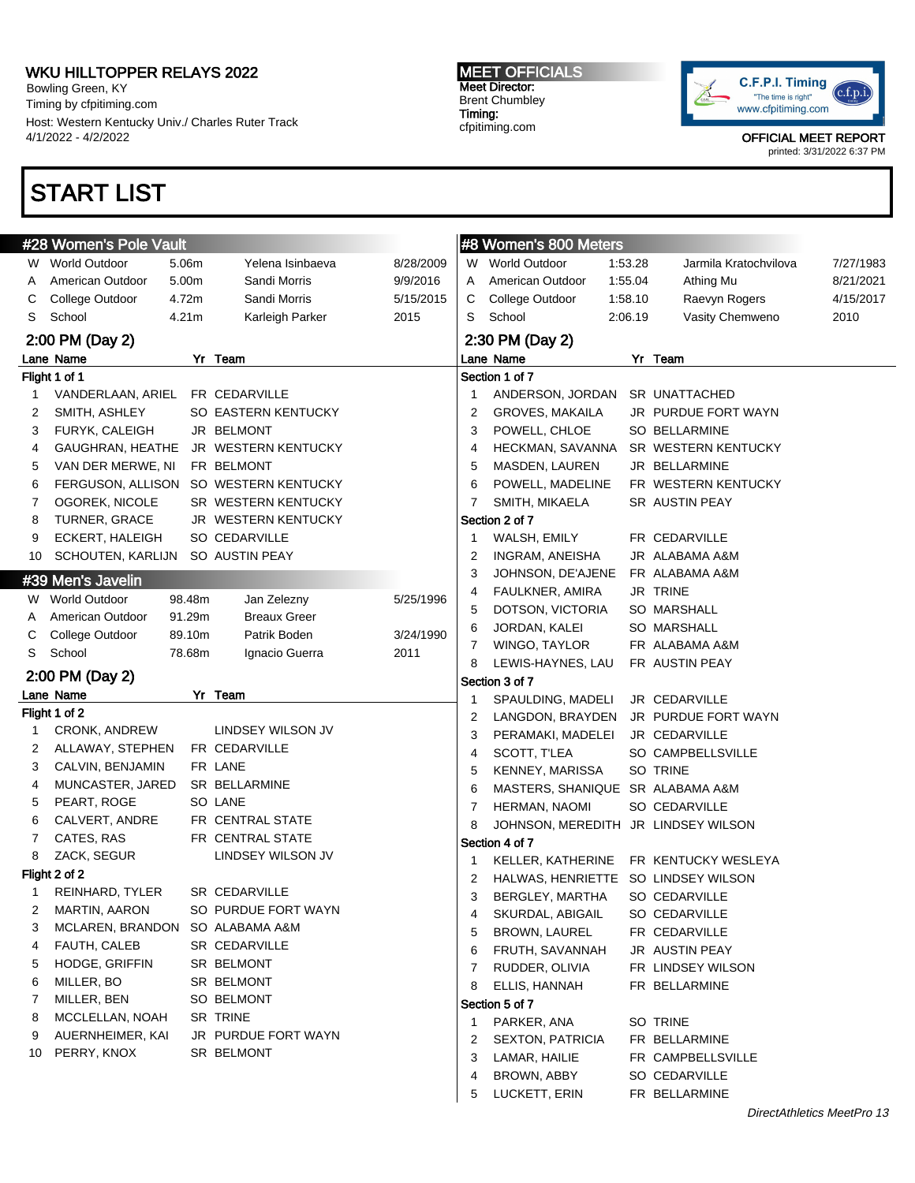Bowling Green, KY Timing by cfpitiming.com Host: Western Kentucky Univ./ Charles Ruter Track 4/1/2022 - 4/2/2022

# START LIST

#### MEET OFFICIALS Meet Director: Brent Chumbley Timing: cfpitiming.com



OFFICIAL MEET REPORT

printed: 3/31/2022 6:37 PM

|    | #28 Women's Pole Vault           |                   |                                       |           |    | #8 Women's 800 Meters               |         |                                       |           |
|----|----------------------------------|-------------------|---------------------------------------|-----------|----|-------------------------------------|---------|---------------------------------------|-----------|
|    | W World Outdoor                  | 5.06m             | Yelena Isinbaeva                      | 8/28/2009 |    | W World Outdoor                     | 1:53.28 | Jarmila Kratochvilova                 | 7/27/1983 |
| A  | American Outdoor                 | 5.00m             | Sandi Morris                          | 9/9/2016  |    | A American Outdoor                  | 1:55.04 | Athing Mu                             | 8/21/2021 |
| C  | College Outdoor                  | 4.72m             | Sandi Morris                          | 5/15/2015 | С  | College Outdoor                     | 1:58.10 | Raevyn Rogers                         | 4/15/2017 |
| S  | School                           | 4.21 <sub>m</sub> | Karleigh Parker                       | 2015      | S  | School                              | 2:06.19 | Vasity Chemweno                       | 2010      |
|    | 2:00 PM (Day 2)                  |                   |                                       |           |    | 2:30 PM (Day 2)                     |         |                                       |           |
|    | Lane Name                        |                   | Yr Team                               |           |    | Lane Name                           |         | Yr Team                               |           |
|    | Flight 1 of 1                    |                   |                                       |           |    | Section 1 of 7                      |         |                                       |           |
| 1  | VANDERLAAN, ARIEL FR CEDARVILLE  |                   |                                       |           | -1 | ANDERSON, JORDAN SR UNATTACHED      |         |                                       |           |
| 2  | SMITH, ASHLEY                    |                   | SO EASTERN KENTUCKY                   |           | 2  | <b>GROVES, MAKAILA</b>              |         | JR PURDUE FORT WAYN                   |           |
| 3  | FURYK, CALEIGH                   |                   | JR BELMONT                            |           | 3  | POWELL, CHLOE                       |         | SO BELLARMINE                         |           |
| 4  |                                  |                   | GAUGHRAN, HEATHE JR WESTERN KENTUCKY  |           | 4  | HECKMAN, SAVANNA                    |         | SR WESTERN KENTUCKY                   |           |
| 5  | VAN DER MERWE, NI                |                   | FR BELMONT                            |           | 5  | MASDEN, LAUREN                      |         | JR BELLARMINE                         |           |
| 6  |                                  |                   | FERGUSON, ALLISON SO WESTERN KENTUCKY |           | 6  | POWELL, MADELINE                    |         | FR WESTERN KENTUCKY                   |           |
| 7  | OGOREK, NICOLE                   |                   | SR WESTERN KENTUCKY                   |           | 7  | SMITH, MIKAELA                      |         | SR AUSTIN PEAY                        |           |
| 8  | TURNER, GRACE                    |                   | JR WESTERN KENTUCKY                   |           |    | Section 2 of 7                      |         |                                       |           |
| 9  | ECKERT, HALEIGH                  |                   | SO CEDARVILLE                         |           | -1 | WALSH, EMILY                        |         | FR CEDARVILLE                         |           |
| 10 | SCHOUTEN, KARLIJN SO AUSTIN PEAY |                   |                                       |           | 2  | INGRAM, ANEISHA                     |         | JR ALABAMA A&M                        |           |
|    | #39 Men's Javelin                |                   |                                       |           | 3  | JOHNSON, DE'AJENE                   |         | FR ALABAMA A&M                        |           |
|    | W World Outdoor                  | 98.48m            | Jan Zelezny                           | 5/25/1996 | 4  | FAULKNER, AMIRA                     |         | JR TRINE                              |           |
| A  | American Outdoor                 | 91.29m            | <b>Breaux Greer</b>                   |           | 5  | DOTSON, VICTORIA                    |         | SO MARSHALL                           |           |
| С  | College Outdoor                  | 89.10m            | Patrik Boden                          | 3/24/1990 | 6  | JORDAN, KALEI                       |         | SO MARSHALL                           |           |
| S  | School                           | 78.68m            | Ignacio Guerra                        | 2011      | 7  | WINGO, TAYLOR                       |         | FR ALABAMA A&M                        |           |
|    |                                  |                   |                                       |           | 8  | LEWIS-HAYNES, LAU                   |         | FR AUSTIN PEAY                        |           |
|    | 2:00 PM (Day 2)                  |                   |                                       |           |    | Section 3 of 7                      |         |                                       |           |
|    | Lane Name                        |                   | Yr Team                               |           | 1  | SPAULDING, MADELI                   |         | JR CEDARVILLE                         |           |
|    | Flight 1 of 2                    |                   |                                       |           | 2  | LANGDON, BRAYDEN                    |         | JR PURDUE FORT WAYN                   |           |
| 1  | <b>CRONK, ANDREW</b>             |                   | LINDSEY WILSON JV                     |           | 3  | PERAMAKI, MADELEI                   |         | JR CEDARVILLE                         |           |
| 2  | ALLAWAY, STEPHEN                 |                   | FR CEDARVILLE                         |           | 4  | SCOTT, T'LEA                        |         | SO CAMPBELLSVILLE                     |           |
| 3  | CALVIN, BENJAMIN                 |                   | FR LANE                               |           | 5  | KENNEY, MARISSA                     |         | SO TRINE                              |           |
| 4  | MUNCASTER, JARED                 |                   | SR BELLARMINE                         |           | 6  | MASTERS, SHANIQUE SR ALABAMA A&M    |         |                                       |           |
| 5  | PEART, ROGE                      |                   | SO LANE                               |           | 7  | HERMAN, NAOMI                       |         | SO CEDARVILLE                         |           |
| 6  | CALVERT, ANDRE                   |                   | FR CENTRAL STATE                      |           | 8  | JOHNSON, MEREDITH JR LINDSEY WILSON |         |                                       |           |
| 7  | CATES, RAS                       |                   | FR CENTRAL STATE                      |           |    | Section 4 of 7                      |         |                                       |           |
| 8  | ZACK, SEGUR                      |                   | LINDSEY WILSON JV                     |           | -1 |                                     |         | KELLER, KATHERINE FR KENTUCKY WESLEYA |           |
|    | Flight 2 of 2                    |                   |                                       |           | 2  | HALWAS, HENRIETTE SO LINDSEY WILSON |         |                                       |           |
|    | REINHARD, TYLER                  |                   | SR CEDARVILLE                         |           | 3  | BERGLEY, MARTHA                     |         | SO CEDARVILLE                         |           |
|    | MARTIN, AARON                    |                   | SO PURDUE FORT WAYN                   |           | 4  | SKURDAL, ABIGAIL                    |         | SO CEDARVILLE                         |           |
| 3  | MCLAREN, BRANDON SO ALABAMA A&M  |                   |                                       |           | 5  | <b>BROWN, LAUREL</b>                |         | FR CEDARVILLE                         |           |
| 4  | FAUTH, CALEB                     |                   | SR CEDARVILLE                         |           | 6  | FRUTH, SAVANNAH                     |         | JR AUSTIN PEAY                        |           |
| 5  | HODGE, GRIFFIN                   |                   | SR BELMONT                            |           | 7  | RUDDER, OLIVIA                      |         | FR LINDSEY WILSON                     |           |
| 6  | MILLER, BO                       |                   | SR BELMONT                            |           | 8  | ELLIS, HANNAH                       |         | FR BELLARMINE                         |           |
| 7  | MILLER, BEN                      |                   | SO BELMONT                            |           |    | Section 5 of 7                      |         |                                       |           |
| 8  | MCCLELLAN, NOAH                  |                   | SR TRINE                              |           | -1 | PARKER, ANA                         |         | SO TRINE                              |           |
| 9  | AUERNHEIMER, KAI                 |                   | JR PURDUE FORT WAYN                   |           | 2  | <b>SEXTON, PATRICIA</b>             |         | FR BELLARMINE                         |           |
| 10 | PERRY, KNOX                      |                   | SR BELMONT                            |           | 3  | LAMAR, HAILIE                       |         | FR CAMPBELLSVILLE                     |           |
|    |                                  |                   |                                       |           | 4  | BROWN, ABBY                         |         | SO CEDARVILLE                         |           |
|    |                                  |                   |                                       |           | 5  | LUCKETT, ERIN                       |         | FR BELLARMINE                         |           |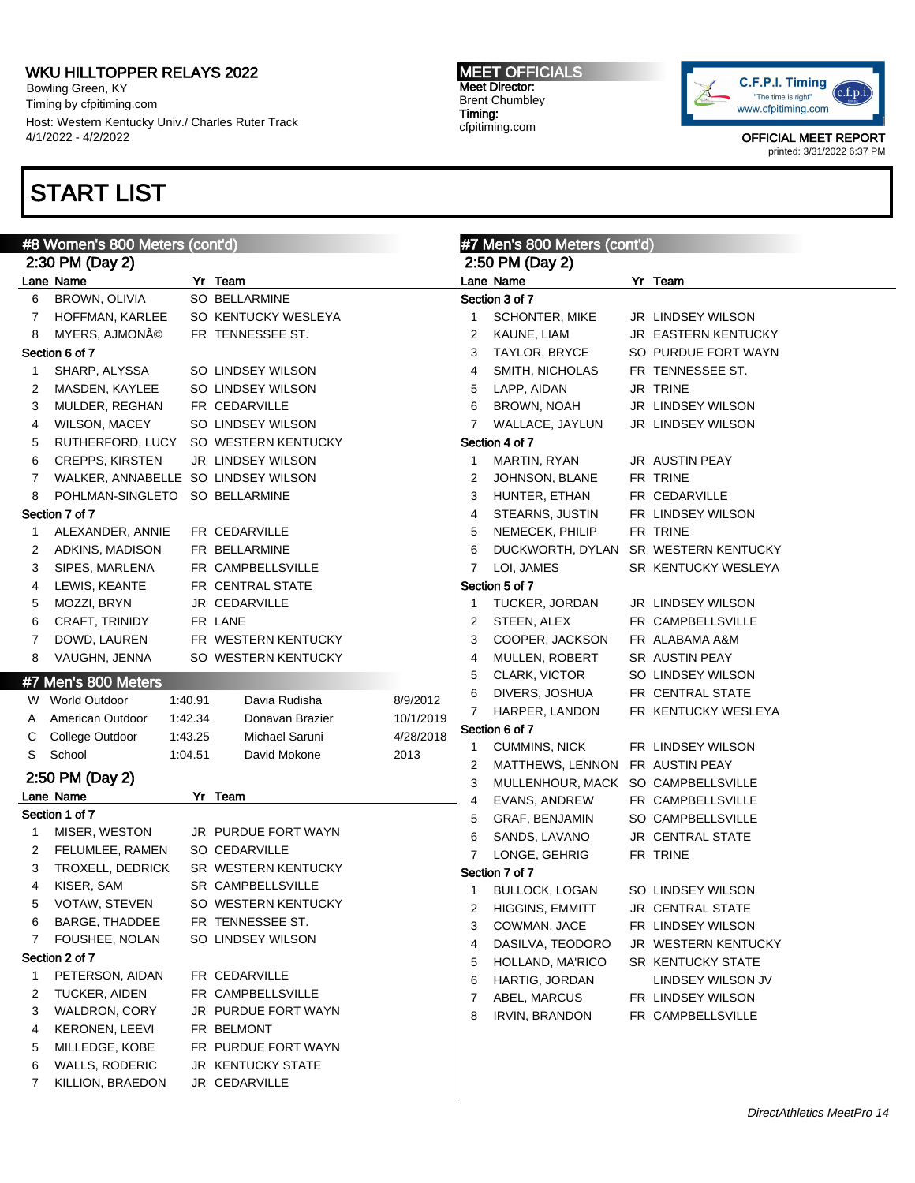Bowling Green, KY Timing by cfpitiming.com Host: Western Kentucky Univ./ Charles Ruter Track 4/1/2022 - 4/2/2022

# START LIST

### MEET OFFICIALS Meet Director: Brent Chumbley Timing: cfpitiming.com



|              | #8 Women's 800 Meters (cont'd)      |         |                     |           |                | #7 Men's 800 Meters (cont'd)       |  |                                      |  |  |
|--------------|-------------------------------------|---------|---------------------|-----------|----------------|------------------------------------|--|--------------------------------------|--|--|
|              | 2:30 PM (Day 2)                     |         |                     |           |                | 2:50 PM (Day 2)                    |  |                                      |  |  |
|              | Lane Name                           |         | Yr Team             |           |                | Lane Name                          |  | Yr Team                              |  |  |
| 6            | BROWN, OLIVIA                       |         | SO BELLARMINE       |           |                | Section 3 of 7                     |  |                                      |  |  |
| 7            | HOFFMAN, KARLEE                     |         | SO KENTUCKY WESLEYA |           | 1.             | <b>SCHONTER, MIKE</b>              |  | JR LINDSEY WILSON                    |  |  |
| 8            | MYERS, AJMONé                       |         | FR TENNESSEE ST.    |           | 2              | KAUNE, LIAM                        |  | JR EASTERN KENTUCKY                  |  |  |
|              | Section 6 of 7                      |         |                     |           | 3              | TAYLOR, BRYCE                      |  | SO PURDUE FORT WAYN                  |  |  |
| $\mathbf{1}$ | SHARP, ALYSSA                       |         | SO LINDSEY WILSON   |           | 4              | SMITH, NICHOLAS                    |  | FR TENNESSEE ST.                     |  |  |
| 2            | MASDEN, KAYLEE                      |         | SO LINDSEY WILSON   |           | 5              | LAPP, AIDAN                        |  | JR TRINE                             |  |  |
| 3            | MULDER, REGHAN                      |         | FR CEDARVILLE       |           | 6              | <b>BROWN, NOAH</b>                 |  | JR LINDSEY WILSON                    |  |  |
| 4            | WILSON, MACEY                       |         | SO LINDSEY WILSON   |           | 7              | WALLACE, JAYLUN                    |  | JR LINDSEY WILSON                    |  |  |
| 5            | RUTHERFORD, LUCY                    |         | SO WESTERN KENTUCKY |           |                | Section 4 of 7                     |  |                                      |  |  |
| 6            | <b>CREPPS, KIRSTEN</b>              |         | JR LINDSEY WILSON   |           | 1              | MARTIN, RYAN                       |  | JR AUSTIN PEAY                       |  |  |
| 7            | WALKER, ANNABELLE SO LINDSEY WILSON |         |                     |           | 2              | JOHNSON, BLANE                     |  | FR TRINE                             |  |  |
| 8            | POHLMAN-SINGLETO SO BELLARMINE      |         |                     |           | 3              | HUNTER, ETHAN                      |  | FR CEDARVILLE                        |  |  |
|              | Section 7 of 7                      |         |                     |           | 4              | STEARNS, JUSTIN                    |  | FR LINDSEY WILSON                    |  |  |
| 1            | ALEXANDER, ANNIE                    |         | FR CEDARVILLE       |           | 5              | NEMECEK, PHILIP                    |  | FR TRINE                             |  |  |
| 2            | ADKINS, MADISON                     |         | FR BELLARMINE       |           | 6              |                                    |  | DUCKWORTH, DYLAN SR WESTERN KENTUCKY |  |  |
| 3            | SIPES, MARLENA                      |         | FR CAMPBELLSVILLE   |           | 7              | LOI, JAMES                         |  | SR KENTUCKY WESLEYA                  |  |  |
| 4            | LEWIS, KEANTE                       |         | FR CENTRAL STATE    |           |                | Section 5 of 7                     |  |                                      |  |  |
| 5            | MOZZI, BRYN                         |         | JR CEDARVILLE       |           | 1              | TUCKER, JORDAN                     |  | JR LINDSEY WILSON                    |  |  |
| 6            | CRAFT, TRINIDY                      |         | FR LANE             |           | 2              | STEEN, ALEX                        |  | FR CAMPBELLSVILLE                    |  |  |
| 7            | DOWD, LAUREN                        |         | FR WESTERN KENTUCKY |           | 3              | COOPER, JACKSON                    |  | FR ALABAMA A&M                       |  |  |
| 8            | VAUGHN, JENNA                       |         | SO WESTERN KENTUCKY |           | 4              | MULLEN, ROBERT                     |  | SR AUSTIN PEAY                       |  |  |
|              |                                     |         |                     |           | 5              | CLARK, VICTOR                      |  | SO LINDSEY WILSON                    |  |  |
|              | #7 Men's 800 Meters                 |         |                     |           | 6              | DIVERS, JOSHUA                     |  | FR CENTRAL STATE                     |  |  |
|              | W World Outdoor                     | 1:40.91 | Davia Rudisha       | 8/9/2012  | $\overline{7}$ | HARPER, LANDON                     |  | FR KENTUCKY WESLEYA                  |  |  |
| A            | American Outdoor                    | 1:42.34 | Donavan Brazier     | 10/1/2019 |                | Section 6 of 7                     |  |                                      |  |  |
| С            | College Outdoor                     | 1:43.25 | Michael Saruni      | 4/28/2018 | $\mathbf{1}$   | <b>CUMMINS, NICK</b>               |  | FR LINDSEY WILSON                    |  |  |
| S            | School                              | 1:04.51 | David Mokone        | 2013      | 2              | MATTHEWS, LENNON FR AUSTIN PEAY    |  |                                      |  |  |
|              | 2:50 PM (Day 2)                     |         |                     |           | 3              | MULLENHOUR, MACK SO CAMPBELLSVILLE |  |                                      |  |  |
|              | Lane Name                           |         | Yr Team             |           | 4              | EVANS, ANDREW                      |  | FR CAMPBELLSVILLE                    |  |  |
|              | Section 1 of 7                      |         |                     |           | 5              | GRAF, BENJAMIN                     |  | SO CAMPBELLSVILLE                    |  |  |
| 1            | MISER, WESTON                       |         | JR PURDUE FORT WAYN |           | 6              | SANDS, LAVANO                      |  | JR CENTRAL STATE                     |  |  |
| 2            | FELUMLEE, RAMEN                     |         | SO CEDARVILLE       |           | $\overline{7}$ | LONGE, GEHRIG                      |  | FR TRINE                             |  |  |
| 3            | TROXELL, DEDRICK                    |         | SR WESTERN KENTUCKY |           |                | Section 7 of 7                     |  |                                      |  |  |
| 4            | KISER, SAM                          |         | SR CAMPBELLSVILLE   |           | $\mathbf 1$    | <b>BULLOCK, LOGAN</b>              |  | SO LINDSEY WILSON                    |  |  |
| 5            | VOTAW, STEVEN                       |         | SO WESTERN KENTUCKY |           | 2              | HIGGINS, EMMITT                    |  | JR CENTRAL STATE                     |  |  |
| 6            | BARGE, THADDEE                      |         | FR TENNESSEE ST.    |           | 3              | COWMAN, JACE                       |  | FR LINDSEY WILSON                    |  |  |
| 7            | FOUSHEE, NOLAN                      |         | SO LINDSEY WILSON   |           | 4              | DASILVA, TEODORO                   |  | JR WESTERN KENTUCKY                  |  |  |
|              | Section 2 of 7                      |         |                     |           | 5              | HOLLAND, MA'RICO                   |  | <b>SR KENTUCKY STATE</b>             |  |  |
| 1            | PETERSON, AIDAN                     |         | FR CEDARVILLE       |           | 6              | <b>HARTIG, JORDAN</b>              |  | LINDSEY WILSON JV                    |  |  |
| 2            | TUCKER, AIDEN                       |         | FR CAMPBELLSVILLE   |           | 7              | ABEL, MARCUS                       |  | FR LINDSEY WILSON                    |  |  |
| 3            | <b>WALDRON, CORY</b>                |         | JR PURDUE FORT WAYN |           | 8              | <b>IRVIN, BRANDON</b>              |  | FR CAMPBELLSVILLE                    |  |  |
| 4            | <b>KERONEN, LEEVI</b>               |         | FR BELMONT          |           |                |                                    |  |                                      |  |  |
| 5            | MILLEDGE, KOBE                      |         | FR PURDUE FORT WAYN |           |                |                                    |  |                                      |  |  |
| 6            | <b>WALLS, RODERIC</b>               |         | JR KENTUCKY STATE   |           |                |                                    |  |                                      |  |  |
| 7            | KILLION, BRAEDON                    |         | JR CEDARVILLE       |           |                |                                    |  |                                      |  |  |
|              |                                     |         |                     |           |                |                                    |  |                                      |  |  |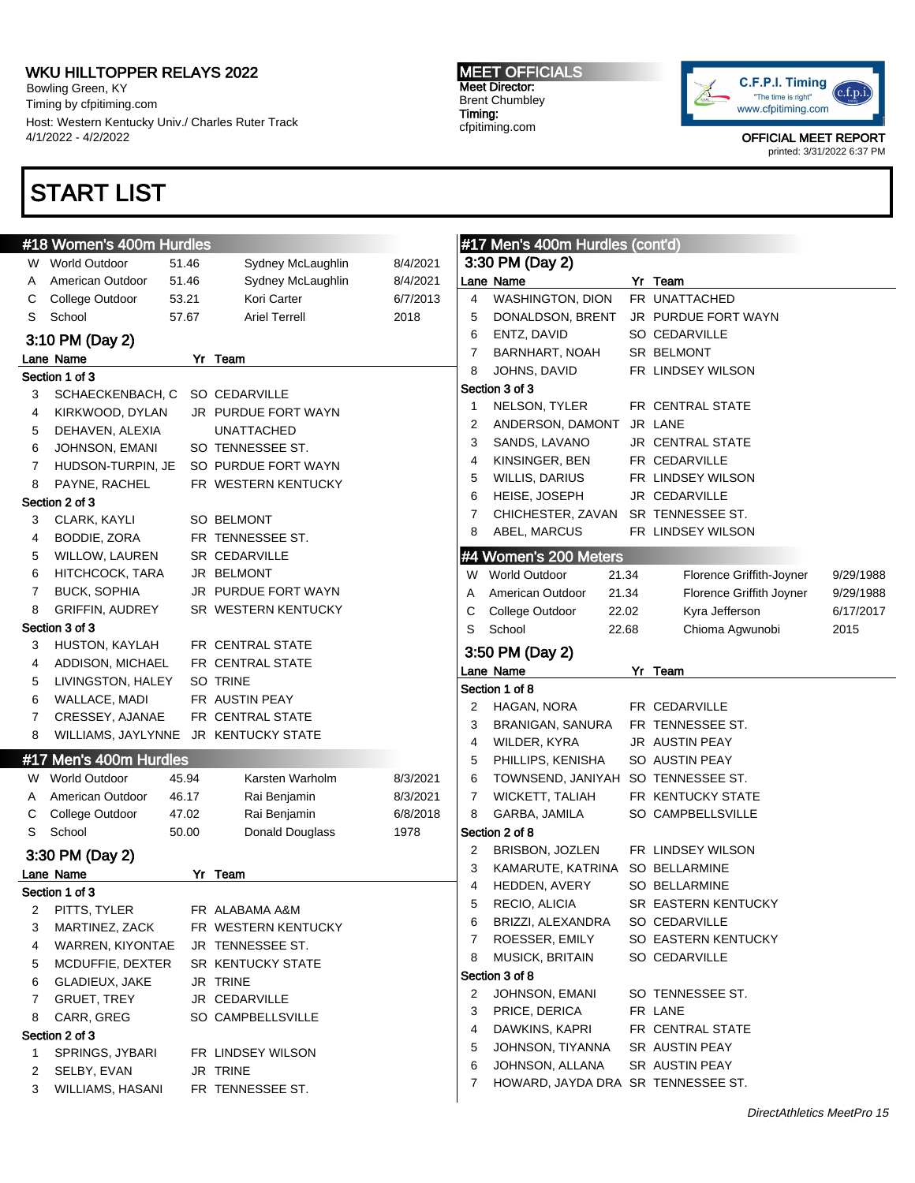Bowling Green, KY Timing by cfpitiming.com Host: Western Kentucky Univ./ Charles Ruter Track 4/1/2022 - 4/2/2022

# START LIST

### MEET OFFICIALS Meet Director: Brent Chumbley Timing: cfpitiming.com

#17 Men's 400m Hurdles (cont'd)



|        | #18 Women's 400m Hurdles             |       |                          |          |                | #17 Men's 400m Hurdles (cont'd)    |       |                          |           |
|--------|--------------------------------------|-------|--------------------------|----------|----------------|------------------------------------|-------|--------------------------|-----------|
| W.     | <b>World Outdoor</b>                 | 51.46 | Sydney McLaughlin        | 8/4/2021 |                | 3:30 PM (Day 2)                    |       |                          |           |
| A      | American Outdoor                     | 51.46 | Sydney McLaughlin        | 8/4/2021 |                | Lane Name                          |       | Yr Team                  |           |
| С      | College Outdoor                      | 53.21 | Kori Carter              | 6/7/2013 | $\overline{4}$ | <b>WASHINGTON, DION</b>            |       | FR UNATTACHED            |           |
| S      | School                               | 57.67 | <b>Ariel Terrell</b>     | 2018     | 5              | DONALDSON, BRENT                   |       | JR PURDUE FORT WAYN      |           |
|        | 3:10 PM (Day 2)                      |       |                          |          | 6              | ENTZ, DAVID                        |       | <b>SO CEDARVILLE</b>     |           |
|        | Lane Name                            |       | Yr Team                  |          | 7              | <b>BARNHART, NOAH</b>              |       | SR BELMONT               |           |
|        | Section 1 of 3                       |       |                          |          | 8              | JOHNS, DAVID                       |       | FR LINDSEY WILSON        |           |
| 3      | SCHAECKENBACH, C SO CEDARVILLE       |       |                          |          |                | Section 3 of 3                     |       |                          |           |
| 4      | KIRKWOOD, DYLAN                      |       | JR PURDUE FORT WAYN      |          | 1              | NELSON, TYLER                      |       | FR CENTRAL STATE         |           |
| 5      | DEHAVEN, ALEXIA                      |       | <b>UNATTACHED</b>        |          | 2              | ANDERSON, DAMONT                   |       | JR LANE                  |           |
| 6      | JOHNSON, EMANI                       |       | SO TENNESSEE ST.         |          | 3              | SANDS, LAVANO                      |       | <b>JR CENTRAL STATE</b>  |           |
|        | HUDSON-TURPIN, JE                    |       | SO PURDUE FORT WAYN      |          | 4              | KINSINGER, BEN                     |       | FR CEDARVILLE            |           |
| 7<br>8 | PAYNE, RACHEL                        |       | FR WESTERN KENTUCKY      |          | 5              | <b>WILLIS, DARIUS</b>              |       | FR LINDSEY WILSON        |           |
|        | Section 2 of 3                       |       |                          |          | 6              | HEISE, JOSEPH                      |       | JR CEDARVILLE            |           |
|        |                                      |       |                          |          | 7              | CHICHESTER, ZAVAN                  |       | SR TENNESSEE ST.         |           |
| 3      | CLARK, KAYLI                         |       | SO BELMONT               |          | 8              | ABEL, MARCUS                       |       | FR LINDSEY WILSON        |           |
| 4      | BODDIE, ZORA                         |       | FR TENNESSEE ST.         |          |                |                                    |       |                          |           |
| 5      | WILLOW, LAUREN                       |       | SR CEDARVILLE            |          |                | #4 Women's 200 Meters              |       |                          |           |
| 6      | HITCHCOCK, TARA                      |       | JR BELMONT               |          |                | W World Outdoor                    | 21.34 | Florence Griffith-Joyner | 9/29/1988 |
| 7      | <b>BUCK, SOPHIA</b>                  |       | JR PURDUE FORT WAYN      |          | Α              | American Outdoor                   | 21.34 | Florence Griffith Joyner | 9/29/1988 |
| 8      | <b>GRIFFIN, AUDREY</b>               |       | SR WESTERN KENTUCKY      |          | С              | College Outdoor                    | 22.02 | Kyra Jefferson           | 6/17/2017 |
|        | Section 3 of 3                       |       |                          |          | S              | School                             | 22.68 | Chioma Agwunobi          | 2015      |
| 3      | HUSTON, KAYLAH                       |       | FR CENTRAL STATE         |          |                | 3:50 PM (Day 2)                    |       |                          |           |
| 4      | ADDISON, MICHAEL                     |       | FR CENTRAL STATE         |          |                | Lane Name                          |       | Yr Team                  |           |
| 5      | LIVINGSTON, HALEY                    |       | SO TRINE                 |          |                | Section 1 of 8                     |       |                          |           |
| 6      | WALLACE, MADI                        |       | FR AUSTIN PEAY           |          | 2              | HAGAN, NORA                        |       | FR CEDARVILLE            |           |
| 7      | CRESSEY, AJANAE                      |       | FR CENTRAL STATE         |          | 3              | BRANIGAN, SANURA                   |       | FR TENNESSEE ST.         |           |
| 8      | WILLIAMS, JAYLYNNE JR KENTUCKY STATE |       |                          |          | 4              | WILDER, KYRA                       |       | JR AUSTIN PEAY           |           |
|        | #17 Men's 400m Hurdles               |       |                          |          | 5              | PHILLIPS, KENISHA                  |       | SO AUSTIN PEAY           |           |
| W.     | <b>World Outdoor</b>                 | 45.94 | Karsten Warholm          | 8/3/2021 | 6              | TOWNSEND, JANIYAH                  |       | SO TENNESSEE ST.         |           |
| A      | American Outdoor                     | 46.17 | Rai Benjamin             | 8/3/2021 | 7              | <b>WICKETT, TALIAH</b>             |       | FR KENTUCKY STATE        |           |
| С      | College Outdoor                      | 47.02 | Rai Benjamin             | 6/8/2018 | 8              | GARBA, JAMILA                      |       | SO CAMPBELLSVILLE        |           |
| S      | School                               | 50.00 | Donald Douglass          | 1978     |                | Section 2 of 8                     |       |                          |           |
|        | 3:30 PM (Day 2)                      |       |                          |          | 2              | BRISBON, JOZLEN                    |       | FR LINDSEY WILSON        |           |
|        | Lane Name                            |       | Yr Team                  |          | 3              | KAMARUTE, KATRINA                  |       | SO BELLARMINE            |           |
|        | Section 1 of 3                       |       |                          |          | 4              | HEDDEN, AVERY                      |       | SO BELLARMINE            |           |
|        | 2 PITTS, TYLER                       |       | FR ALABAMA A&M           |          | 5              | RECIO, ALICIA                      |       | SR EASTERN KENTUCKY      |           |
| 3      | MARTINEZ, ZACK                       |       | FR WESTERN KENTUCKY      |          | 6              | BRIZZI, ALEXANDRA                  |       | <b>SO CEDARVILLE</b>     |           |
| 4      | WARREN, KIYONTAE                     |       | JR TENNESSEE ST.         |          | 7              | ROESSER, EMILY                     |       | SO EASTERN KENTUCKY      |           |
| 5      | MCDUFFIE, DEXTER                     |       | <b>SR KENTUCKY STATE</b> |          | 8              | <b>MUSICK, BRITAIN</b>             |       | SO CEDARVILLE            |           |
| 6      | GLADIEUX, JAKE                       |       | JR TRINE                 |          |                | Section 3 of 8                     |       |                          |           |
| 7      | <b>GRUET, TREY</b>                   |       | JR CEDARVILLE            |          | 2              | JOHNSON, EMANI                     |       | SO TENNESSEE ST.         |           |
| 8      | CARR, GREG                           |       | SO CAMPBELLSVILLE        |          | 3              | PRICE, DERICA                      |       | FR LANE                  |           |
|        | Section 2 of 3                       |       |                          |          | 4              | DAWKINS, KAPRI                     |       | FR CENTRAL STATE         |           |
| 1      | SPRINGS, JYBARI                      |       | FR LINDSEY WILSON        |          | 5              | JOHNSON, TIYANNA                   |       | SR AUSTIN PEAY           |           |
| 2      | SELBY, EVAN                          |       | JR TRINE                 |          | 6              | JOHNSON, ALLANA                    |       | SR AUSTIN PEAY           |           |
| 3      | WILLIAMS, HASANI                     |       | FR TENNESSEE ST.         |          | 7              | HOWARD, JAYDA DRA SR TENNESSEE ST. |       |                          |           |
|        |                                      |       |                          |          |                |                                    |       |                          |           |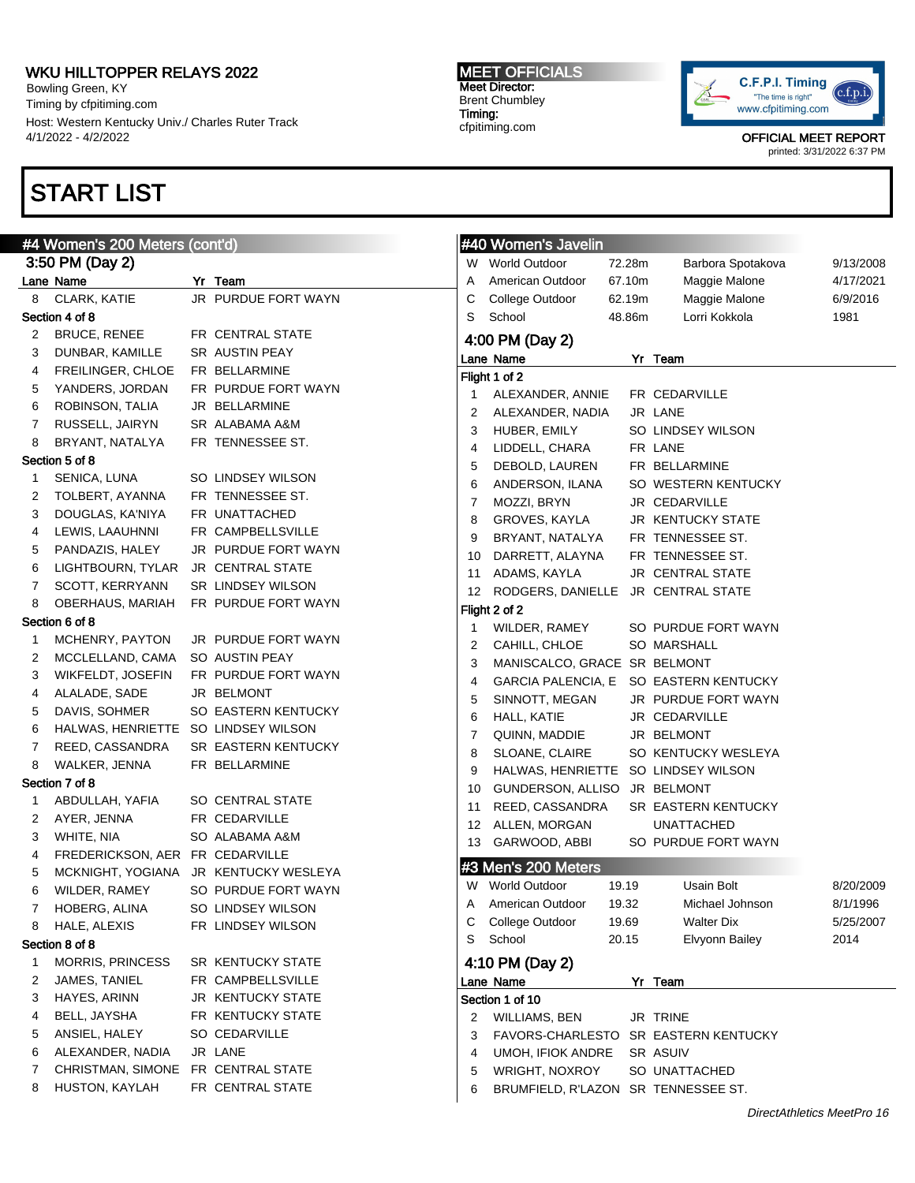Bowling Green, KY Timing by cfpitiming.com Host: Western Kentucky Univ./ Charles Ruter Track 4/1/2022 - 4/2/2022

# START LIST

3:50 PM (Day 2)

Section 4 of 8

Section 5 of 8

Section 6 of 8

Section 7 of 8

Section 8 of 8

#### MEET OFFICIALS Meet Director: Brent Chumbley Timing: cfpitiming.com



OFFICIAL MEET REPORT

printed: 3/31/2022 6:37 PM

| 4 Women's 200 Meters (cont'd)            |                                       |    | #40 Women's Javelin                 |        |                                        |           |
|------------------------------------------|---------------------------------------|----|-------------------------------------|--------|----------------------------------------|-----------|
| 3:50 PM (Day 2)                          |                                       |    | W World Outdoor                     | 72.28m | Barbora Spotakova                      | 9/13/2008 |
| ane Name                                 | Yr Team                               | A  | American Outdoor                    | 67.10m | Maggie Malone                          | 4/17/2021 |
| 8 CLARK, KATIE                           | JR PURDUE FORT WAYN                   | С  | College Outdoor                     | 62.19m | Maggie Malone                          | 6/9/2016  |
| ection 4 of 8                            |                                       | S  | School                              | 48.86m | Lorri Kokkola                          | 1981      |
| BRUCE, RENEE<br>$\mathbf{2}^{\prime}$    | FR CENTRAL STATE                      |    | 4:00 PM (Day 2)                     |        |                                        |           |
| 3<br>DUNBAR, KAMILLE                     | SR AUSTIN PEAY                        |    | Lane Name                           |        | Yr Team                                |           |
| FREILINGER, CHLOE<br>4                   | FR BELLARMINE                         |    | Flight 1 of 2                       |        |                                        |           |
| YANDERS, JORDAN<br>5                     | FR PURDUE FORT WAYN                   | 1  | ALEXANDER, ANNIE                    |        | FR CEDARVILLE                          |           |
| 6<br>ROBINSON, TALIA                     | JR BELLARMINE                         | 2  | ALEXANDER, NADIA                    |        | JR LANE                                |           |
| 7<br>RUSSELL, JAIRYN                     | SR ALABAMA A&M                        | 3  | HUBER, EMILY                        |        | SO LINDSEY WILSON                      |           |
| BRYANT, NATALYA<br>8                     | FR TENNESSEE ST.                      | 4  | LIDDELL, CHARA                      |        | FR LANE                                |           |
| ection 5 of 8                            |                                       | 5  | DEBOLD, LAUREN                      |        | FR BELLARMINE                          |           |
| SENICA, LUNA<br>1                        | SO LINDSEY WILSON                     | 6  | ANDERSON, ILANA                     |        | SO WESTERN KENTUCKY                    |           |
| 2<br>TOLBERT, AYANNA                     | FR TENNESSEE ST.                      | 7  | MOZZI, BRYN                         |        | JR CEDARVILLE                          |           |
| 3<br>DOUGLAS, KA'NIYA                    | FR UNATTACHED                         | 8  | GROVES, KAYLA                       |        | <b>JR KENTUCKY STATE</b>               |           |
| LEWIS, LAAUHNNI<br>4                     | FR CAMPBELLSVILLE                     | 9  | BRYANT, NATALYA                     |        | FR TENNESSEE ST.                       |           |
| 5<br>PANDAZIS, HALEY                     | JR PURDUE FORT WAYN                   | 10 | DARRETT, ALAYNA                     |        | FR TENNESSEE ST.                       |           |
| LIGHTBOURN, TYLAR JR CENTRAL STATE<br>6  |                                       | 11 | ADAMS, KAYLA                        |        | JR CENTRAL STATE                       |           |
| SCOTT, KERRYANN<br>7                     | <b>SR LINDSEY WILSON</b>              | 12 | RODGERS, DANIELLE JR CENTRAL STATE  |        |                                        |           |
| 8<br>OBERHAUS, MARIAH                    | FR PURDUE FORT WAYN                   |    | Flight 2 of 2                       |        |                                        |           |
| ection 6 of 8                            |                                       | 1  | WILDER, RAMEY                       |        | SO PURDUE FORT WAYN                    |           |
| MCHENRY, PAYTON<br>1                     | <b>JR PURDUE FORT WAYN</b>            | 2  | CAHILL, CHLOE                       |        | SO MARSHALL                            |           |
| 2<br>MCCLELLAND, CAMA                    | SO AUSTIN PEAY                        | 3  | MANISCALCO, GRACE SR BELMONT        |        |                                        |           |
| WIKFELDT, JOSEFIN<br>3                   | FR PURDUE FORT WAYN                   | 4  |                                     |        | GARCIA PALENCIA, E SO EASTERN KENTUCKY |           |
| ALALADE, SADE<br>4                       | JR BELMONT                            |    |                                     |        |                                        |           |
| DAVIS, SOHMER<br>5                       | SO EASTERN KENTUCKY                   | 5  | SINNOTT, MEGAN                      |        | JR PURDUE FORT WAYN                    |           |
| HALWAS, HENRIETTE SO LINDSEY WILSON<br>6 |                                       | 6  | HALL, KATIE                         |        | JR CEDARVILLE                          |           |
| REED, CASSANDRA<br>7                     | <b>SR EASTERN KENTUCKY</b>            | 7  | QUINN, MADDIE                       |        | JR BELMONT                             |           |
| WALKER, JENNA<br>8                       | FR BELLARMINE                         | 8  | SLOANE, CLAIRE                      |        | SO KENTUCKY WESLEYA                    |           |
| ection 7 of 8                            |                                       | 9  | HALWAS, HENRIETTE SO LINDSEY WILSON |        |                                        |           |
| ABDULLAH, YAFIA<br>1                     | SO CENTRAL STATE                      | 10 | GUNDERSON, ALLISO JR BELMONT        |        |                                        |           |
| AYER, JENNA<br>2                         | FR CEDARVILLE                         | 11 | REED, CASSANDRA                     |        | <b>SR EASTERN KENTUCKY</b>             |           |
| WHITE, NIA<br>3                          | SO ALABAMA A&M                        | 12 | ALLEN, MORGAN                       |        | UNATTACHED                             |           |
| FREDERICKSON, AER FR CEDARVILLE<br>4     |                                       |    | 13 GARWOOD, ABBI                    |        | SO PURDUE FORT WAYN                    |           |
| 5                                        | MCKNIGHT, YOGIANA JR KENTUCKY WESLEYA |    | #3 Men's 200 Meters                 |        |                                        |           |
| 6<br>WILDER, RAMEY                       | SO PURDUE FORT WAYN                   |    | W World Outdoor                     | 19.19  | Usain Bolt                             | 8/20/2009 |
| 7<br>HOBERG, ALINA                       | SO LINDSEY WILSON                     | Α  | American Outdoor                    | 19.32  | Michael Johnson                        | 8/1/1996  |
| HALE, ALEXIS<br>8                        | FR LINDSEY WILSON                     | С  | College Outdoor                     | 19.69  | <b>Walter Dix</b>                      | 5/25/2007 |
| ection 8 of 8                            |                                       | S  | School                              | 20.15  | Elvyonn Bailey                         | 2014      |
| <b>MORRIS, PRINCESS</b><br>1             | SR KENTUCKY STATE                     |    | 4:10 PM (Day 2)                     |        |                                        |           |
| 2<br>JAMES, TANIEL                       | FR CAMPBELLSVILLE                     |    | Lane Name                           |        | Yr Team                                |           |
| HAYES, ARINN<br>3                        | JR KENTUCKY STATE                     |    | Section 1 of 10                     |        |                                        |           |
| BELL, JAYSHA<br>4                        | FR KENTUCKY STATE                     |    |                                     |        |                                        |           |
| ANSIEL, HALEY<br>5                       | SO CEDARVILLE                         | 2  | <b>WILLIAMS, BEN</b>                |        | JR TRINE                               |           |
|                                          | JR LANE                               | 3  |                                     |        | FAVORS-CHARLESTO SR EASTERN KENTUCKY   |           |
| ALEXANDER, NADIA<br>6                    | FR CENTRAL STATE                      | 4  | UMOH, IFIOK ANDRE                   |        | SR ASUIV                               |           |
| CHRISTMAN, SIMONE<br>7                   |                                       | 5  | <b>WRIGHT, NOXROY</b>               |        | SO UNATTACHED                          |           |
| HUSTON, KAYLAH<br>8                      | FR CENTRAL STATE                      | 6  | BRUMFIELD, R'LAZON SR TENNESSEE ST. |        |                                        |           |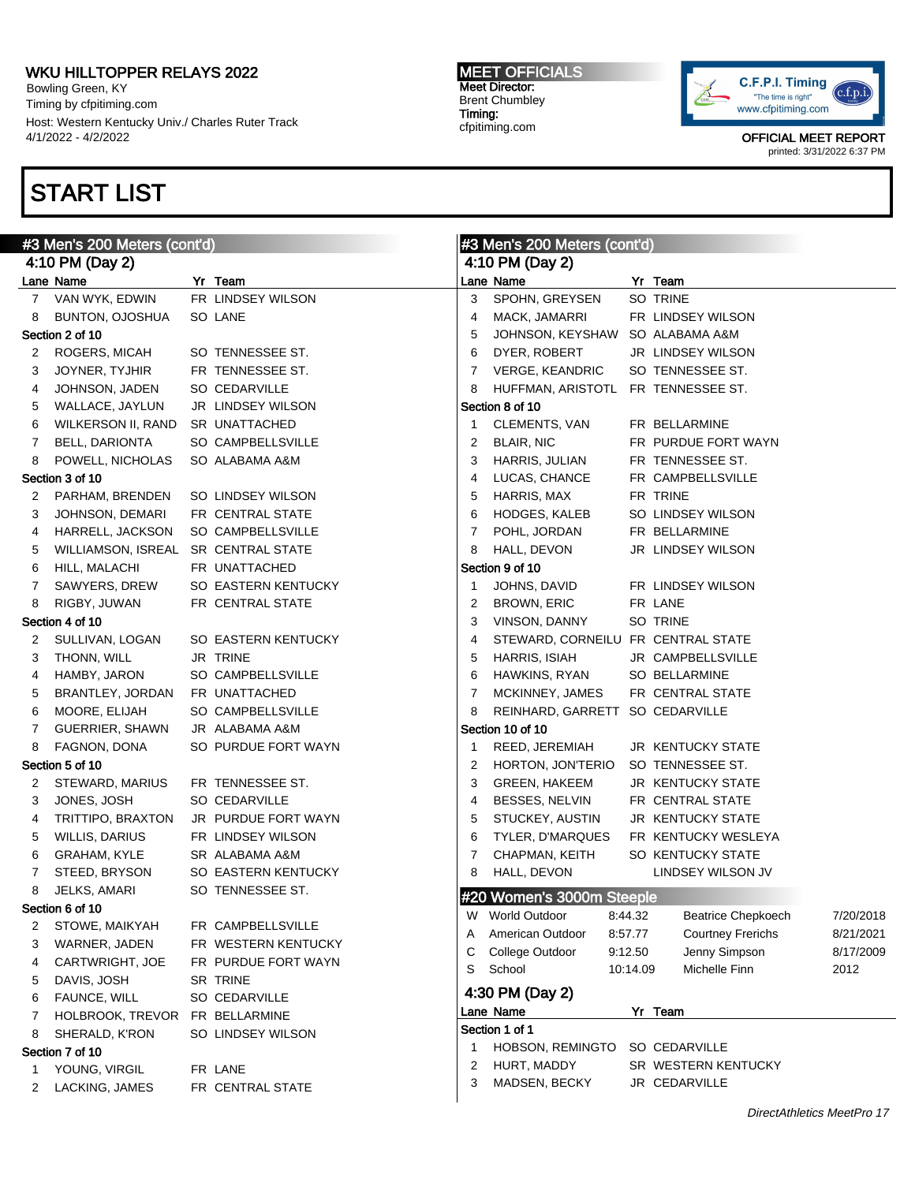Bowling Green, KY Timing by cfpitiming.com Host: Western Kentucky Univ./ Charles Ruter Track 4/1/2022 - 4/2/2022

# START LIST

#### MEET OFFICIALS Meet Director: Brent Chumbley Timing: cfpitiming.com



| #3 Men's 200 Meters (cont'd) |                                     |  | #3 Men's 200 Meters (cont'd) |              |                                    |          |                           |           |
|------------------------------|-------------------------------------|--|------------------------------|--------------|------------------------------------|----------|---------------------------|-----------|
|                              | 4:10 PM (Day 2)                     |  |                              |              | 4:10 PM (Day 2)                    |          |                           |           |
|                              | Lane Name                           |  | Yr Team                      |              | Lane Name                          |          | Yr Team                   |           |
|                              | 7 VAN WYK, EDWIN                    |  | FR LINDSEY WILSON            | 3            | SPOHN, GREYSEN                     |          | SO TRINE                  |           |
| 8                            | BUNTON, OJOSHUA                     |  | SO LANE                      | 4            | MACK, JAMARRI                      |          | FR LINDSEY WILSON         |           |
|                              | Section 2 of 10                     |  |                              | 5            | JOHNSON, KEYSHAW SO ALABAMA A&M    |          |                           |           |
| 2                            | ROGERS, MICAH                       |  | SO TENNESSEE ST.             | 6            | DYER, ROBERT                       |          | JR LINDSEY WILSON         |           |
| 3                            | JOYNER, TYJHIR                      |  | FR TENNESSEE ST.             | 7            | <b>VERGE, KEANDRIC</b>             |          | SO TENNESSEE ST.          |           |
| 4                            | JOHNSON, JADEN                      |  | SO CEDARVILLE                | 8            | HUFFMAN, ARISTOTL FR TENNESSEE ST. |          |                           |           |
| 5                            | WALLACE, JAYLUN                     |  | JR LINDSEY WILSON            |              | Section 8 of 10                    |          |                           |           |
| 6                            | WILKERSON II, RAND                  |  | SR UNATTACHED                | $\mathbf{1}$ | CLEMENTS, VAN                      |          | FR BELLARMINE             |           |
| 7                            | <b>BELL, DARIONTA</b>               |  | SO CAMPBELLSVILLE            | 2            | <b>BLAIR, NIC</b>                  |          | FR PURDUE FORT WAYN       |           |
| 8                            | POWELL, NICHOLAS                    |  | SO ALABAMA A&M               | 3            | HARRIS, JULIAN                     |          | FR TENNESSEE ST.          |           |
|                              | Section 3 of 10                     |  |                              | 4            | LUCAS, CHANCE                      |          | FR CAMPBELLSVILLE         |           |
| 2                            | PARHAM, BRENDEN                     |  | SO LINDSEY WILSON            | 5            | HARRIS, MAX                        |          | FR TRINE                  |           |
| З                            | JOHNSON, DEMARI                     |  | FR CENTRAL STATE             | 6            | HODGES, KALEB                      |          | SO LINDSEY WILSON         |           |
| 4                            | HARRELL, JACKSON                    |  | SO CAMPBELLSVILLE            | 7            | POHL, JORDAN                       |          | FR BELLARMINE             |           |
| 5                            | WILLIAMSON, ISREAL SR CENTRAL STATE |  |                              | 8            | HALL, DEVON                        |          | JR LINDSEY WILSON         |           |
| 6                            | HILL, MALACHI                       |  | FR UNATTACHED                |              | Section 9 of 10                    |          |                           |           |
| 7                            | SAWYERS, DREW                       |  | SO EASTERN KENTUCKY          | $\mathbf{1}$ | JOHNS, DAVID                       |          | FR LINDSEY WILSON         |           |
| 8                            | RIGBY, JUWAN                        |  | FR CENTRAL STATE             | 2            | <b>BROWN, ERIC</b>                 |          | FR LANE                   |           |
|                              | Section 4 of 10                     |  |                              | 3            | VINSON, DANNY                      |          | SO TRINE                  |           |
| 2                            | SULLIVAN, LOGAN                     |  | SO EASTERN KENTUCKY          | 4            | STEWARD, CORNEILU FR CENTRAL STATE |          |                           |           |
| 3                            | THONN, WILL                         |  | JR TRINE                     | 5            | <b>HARRIS, ISIAH</b>               |          | JR CAMPBELLSVILLE         |           |
| 4                            | HAMBY, JARON                        |  | SO CAMPBELLSVILLE            | 6            | HAWKINS, RYAN                      |          | SO BELLARMINE             |           |
| 5                            | BRANTLEY, JORDAN FR UNATTACHED      |  |                              | 7            | MCKINNEY, JAMES                    |          | FR CENTRAL STATE          |           |
| 6                            | MOORE, ELIJAH                       |  | SO CAMPBELLSVILLE            | 8            | REINHARD, GARRETT SO CEDARVILLE    |          |                           |           |
| 7                            | GUERRIER, SHAWN                     |  | JR ALABAMA A&M               |              | Section 10 of 10                   |          |                           |           |
| 8                            | FAGNON, DONA                        |  | SO PURDUE FORT WAYN          | $\mathbf{1}$ | REED, JEREMIAH                     |          | <b>JR KENTUCKY STATE</b>  |           |
|                              | Section 5 of 10                     |  |                              | 2            | HORTON, JON'TERIO                  |          | SO TENNESSEE ST.          |           |
| 2                            | STEWARD, MARIUS                     |  | FR TENNESSEE ST.             | 3            | <b>GREEN, HAKEEM</b>               |          | JR KENTUCKY STATE         |           |
| 3                            | JONES, JOSH                         |  | SO CEDARVILLE                | 4            | BESSES, NELVIN                     |          | FR CENTRAL STATE          |           |
| 4                            | TRITTIPO, BRAXTON                   |  | JR PURDUE FORT WAYN          | 5            | STUCKEY, AUSTIN                    |          | JR KENTUCKY STATE         |           |
| 5                            | <b>WILLIS, DARIUS</b>               |  | FR LINDSEY WILSON            | 6            | TYLER, D'MARQUES                   |          | FR KENTUCKY WESLEYA       |           |
| 6                            | <b>GRAHAM, KYLE</b>                 |  | SR ALABAMA A&M               | 7            | CHAPMAN, KEITH                     |          | SO KENTUCKY STATE         |           |
| $\mathbf{7}$                 | STEED, BRYSON                       |  | SO EASTERN KENTUCKY          | 8            | HALL, DEVON                        |          | LINDSEY WILSON JV         |           |
|                              | 8 JELKS, AMARI                      |  | SO TENNESSEE ST.             |              | #20 Women's 3000m Steeple          |          |                           |           |
|                              | Section 6 of 10                     |  |                              | W            | <b>World Outdoor</b>               | 8:44.32  | <b>Beatrice Chepkoech</b> | 7/20/2018 |
| 2                            | STOWE, MAIKYAH                      |  | FR CAMPBELLSVILLE            | A            | American Outdoor                   | 8:57.77  | <b>Courtney Frerichs</b>  | 8/21/2021 |
| 3                            | WARNER, JADEN                       |  | FR WESTERN KENTUCKY          | С            | College Outdoor                    | 9:12.50  | Jenny Simpson             | 8/17/2009 |
| 4                            | CARTWRIGHT, JOE                     |  | FR PURDUE FORT WAYN          | S            | School                             | 10:14.09 | Michelle Finn             | 2012      |
| 5                            | DAVIS, JOSH                         |  | SR TRINE                     |              | 4:30 PM (Day 2)                    |          |                           |           |
| 6                            | FAUNCE, WILL                        |  | SO CEDARVILLE                |              |                                    |          | Yr Team                   |           |
| 7                            | HOLBROOK, TREVOR FR BELLARMINE      |  |                              |              | Lane Name<br>Section 1 of 1        |          |                           |           |
| 8                            | SHERALD, K'RON                      |  | SO LINDSEY WILSON            | 1            | HOBSON, REMINGTO                   |          | SO CEDARVILLE             |           |
|                              | Section 7 of 10                     |  |                              | 2            | HURT, MADDY                        |          | SR WESTERN KENTUCKY       |           |
| 1                            | YOUNG, VIRGIL                       |  | FR LANE                      | 3            | MADSEN, BECKY                      |          | JR CEDARVILLE             |           |
| 2                            | LACKING, JAMES                      |  | FR CENTRAL STATE             |              |                                    |          |                           |           |